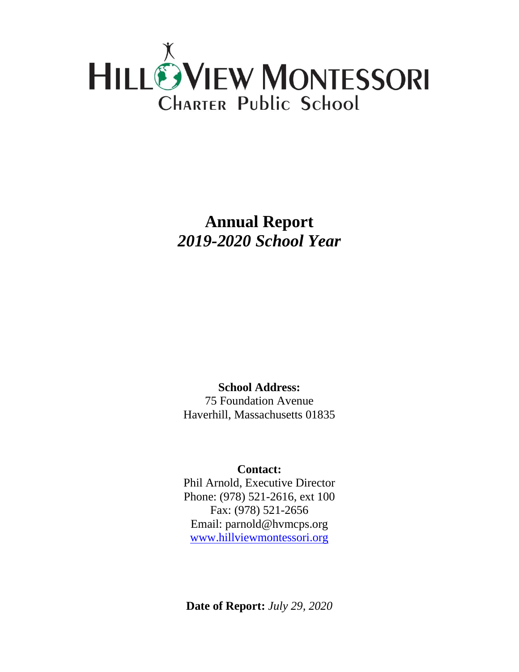

**Annual Report** *2019-2020 School Year*

**School Address:** 75 Foundation Avenue Haverhill, Massachusetts 01835

## **Contact:**

Phil Arnold, Executive Director Phone: (978) 521-2616, ext 100 Fax: (978) 521-2656 Email: parnold@hvmcps.org [www.hillviewmontessori.org](http://www.hillviewmontessori.org/)

**Date of Report:** *July 29, 2020*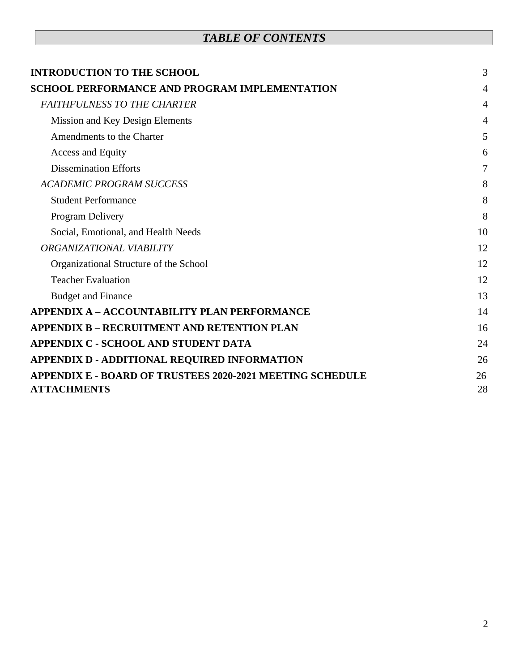# *TABLE OF CONTENTS*

| <b>INTRODUCTION TO THE SCHOOL</b>                                | 3              |
|------------------------------------------------------------------|----------------|
| <b>SCHOOL PERFORMANCE AND PROGRAM IMPLEMENTATION</b>             | 4              |
| <b>FAITHFULNESS TO THE CHARTER</b>                               | $\overline{4}$ |
| Mission and Key Design Elements                                  | 4              |
| Amendments to the Charter                                        | 5              |
| Access and Equity                                                | 6              |
| <b>Dissemination Efforts</b>                                     | 7              |
| <b>ACADEMIC PROGRAM SUCCESS</b>                                  | 8              |
| <b>Student Performance</b>                                       | 8              |
| Program Delivery                                                 | 8              |
| Social, Emotional, and Health Needs                              | 10             |
| ORGANIZATIONAL VIABILITY                                         | 12             |
| Organizational Structure of the School                           | 12             |
| <b>Teacher Evaluation</b>                                        | 12             |
| <b>Budget and Finance</b>                                        | 13             |
| <b>APPENDIX A - ACCOUNTABILITY PLAN PERFORMANCE</b>              | 14             |
| <b>APPENDIX B - RECRUITMENT AND RETENTION PLAN</b>               | 16             |
| <b>APPENDIX C - SCHOOL AND STUDENT DATA</b>                      | 24             |
| APPENDIX D - ADDITIONAL REQUIRED INFORMATION                     | 26             |
| <b>APPENDIX E - BOARD OF TRUSTEES 2020-2021 MEETING SCHEDULE</b> | 26             |
| <b>ATTACHMENTS</b>                                               | 28             |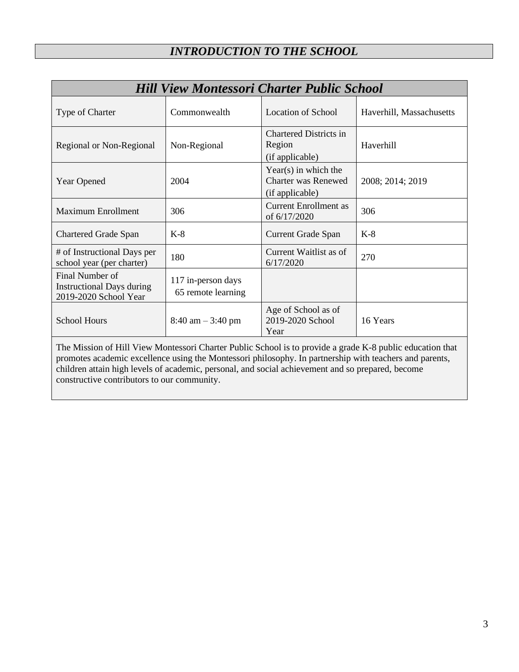<span id="page-2-0"></span>

| <b>Hill View Montessori Charter Public School</b>                                                         |                                          |                                                                         |                          |  |
|-----------------------------------------------------------------------------------------------------------|------------------------------------------|-------------------------------------------------------------------------|--------------------------|--|
| Type of Charter                                                                                           | Commonwealth                             | <b>Location of School</b>                                               | Haverhill, Massachusetts |  |
| Regional or Non-Regional                                                                                  | Non-Regional                             | <b>Chartered Districts in</b><br>Region<br>(if applicable)              | Haverhill                |  |
| <b>Year Opened</b>                                                                                        | 2004                                     | $Year(s)$ in which the<br><b>Charter was Renewed</b><br>(if applicable) | 2008; 2014; 2019         |  |
| <b>Maximum Enrollment</b>                                                                                 | 306                                      | <b>Current Enrollment as</b><br>of 6/17/2020                            | 306                      |  |
| <b>Chartered Grade Span</b>                                                                               | $K-8$                                    | <b>Current Grade Span</b>                                               | $K-8$                    |  |
| # of Instructional Days per<br>school year (per charter)                                                  | 180                                      | Current Waitlist as of<br>6/17/2020                                     | 270                      |  |
| Final Number of<br><b>Instructional Days during</b><br>2019-2020 School Year                              | 117 in-person days<br>65 remote learning |                                                                         |                          |  |
| <b>School Hours</b>                                                                                       | $8:40$ am $-3:40$ pm                     | Age of School as of<br>2019-2020 School<br>Year                         | 16 Years                 |  |
| The Mission of Hill View Montessori Charter Public School is to provide a grade K-8 public education that |                                          |                                                                         |                          |  |

The Mission of Hill View Montessori Charter Public School is to provide a grade K-8 public education that promotes academic excellence using the Montessori philosophy. In partnership with teachers and parents, children attain high levels of academic, personal, and social achievement and so prepared, become constructive contributors to our community.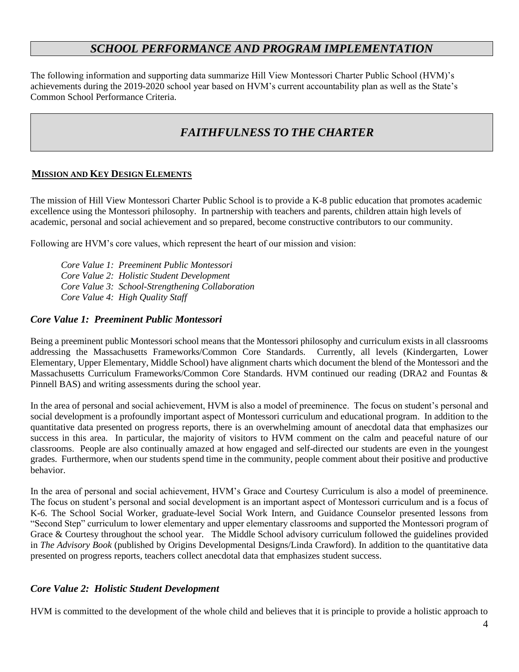## *SCHOOL PERFORMANCE AND PROGRAM IMPLEMENTATION*

<span id="page-3-0"></span>The following information and supporting data summarize Hill View Montessori Charter Public School (HVM)'s achievements during the 2019-2020 school year based on HVM's current accountability plan as well as the State's Common School Performance Criteria.

# *FAITHFULNESS TO THE CHARTER*

### <span id="page-3-2"></span><span id="page-3-1"></span>**MISSION AND KEY DESIGN ELEMENTS**

The mission of Hill View Montessori Charter Public School is to provide a K-8 public education that promotes academic excellence using the Montessori philosophy. In partnership with teachers and parents, children attain high levels of academic, personal and social achievement and so prepared, become constructive contributors to our community.

Following are HVM's core values, which represent the heart of our mission and vision:

*Core Value 1: Preeminent Public Montessori Core Value 2: Holistic Student Development Core Value 3: School-Strengthening Collaboration Core Value 4: High Quality Staff*

### *Core Value 1: Preeminent Public Montessori*

Being a preeminent public Montessori school means that the Montessori philosophy and curriculum exists in all classrooms addressing the Massachusetts Frameworks/Common Core Standards. Currently, all levels (Kindergarten, Lower Elementary, Upper Elementary, Middle School) have alignment charts which document the blend of the Montessori and the Massachusetts Curriculum Frameworks/Common Core Standards. HVM continued our reading (DRA2 and Fountas & Pinnell BAS) and writing assessments during the school year.

In the area of personal and social achievement, HVM is also a model of preeminence. The focus on student's personal and social development is a profoundly important aspect of Montessori curriculum and educational program. In addition to the quantitative data presented on progress reports, there is an overwhelming amount of anecdotal data that emphasizes our success in this area. In particular, the majority of visitors to HVM comment on the calm and peaceful nature of our classrooms. People are also continually amazed at how engaged and self-directed our students are even in the youngest grades. Furthermore, when our students spend time in the community, people comment about their positive and productive behavior.

In the area of personal and social achievement, HVM's Grace and Courtesy Curriculum is also a model of preeminence. The focus on student's personal and social development is an important aspect of Montessori curriculum and is a focus of K-6. The School Social Worker, graduate-level Social Work Intern, and Guidance Counselor presented lessons from "Second Step" curriculum to lower elementary and upper elementary classrooms and supported the Montessori program of Grace & Courtesy throughout the school year. The Middle School advisory curriculum followed the guidelines provided in *The Advisory Book* (published by Origins Developmental Designs/Linda Crawford). In addition to the quantitative data presented on progress reports, teachers collect anecdotal data that emphasizes student success.

### *Core Value 2: Holistic Student Development*

HVM is committed to the development of the whole child and believes that it is principle to provide a holistic approach to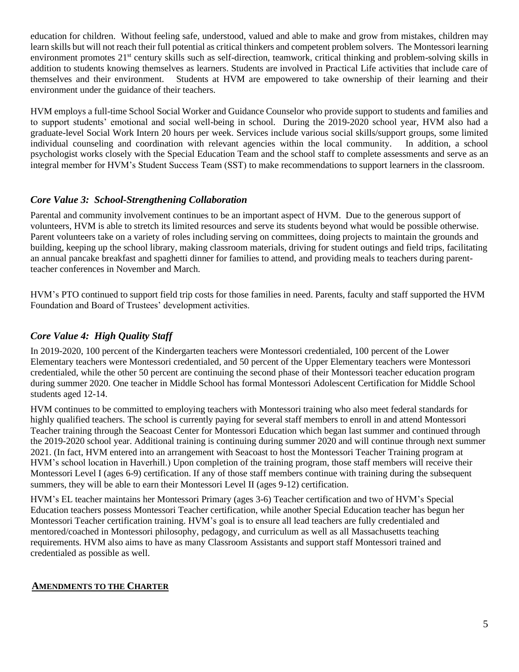education for children. Without feeling safe, understood, valued and able to make and grow from mistakes, children may learn skills but will not reach their full potential as critical thinkers and competent problem solvers. The Montessori learning environment promotes 21<sup>st</sup> century skills such as self-direction, teamwork, critical thinking and problem-solving skills in addition to students knowing themselves as learners. Students are involved in Practical Life activities that include care of themselves and their environment. Students at HVM are empowered to take ownership of their learning and their environment under the guidance of their teachers.

HVM employs a full-time School Social Worker and Guidance Counselor who provide support to students and families and to support students' emotional and social well-being in school. During the 2019-2020 school year, HVM also had a graduate-level Social Work Intern 20 hours per week. Services include various social skills/support groups, some limited individual counseling and coordination with relevant agencies within the local community. In addition, a school psychologist works closely with the Special Education Team and the school staff to complete assessments and serve as an integral member for HVM's Student Success Team (SST) to make recommendations to support learners in the classroom.

### *Core Value 3: School-Strengthening Collaboration*

Parental and community involvement continues to be an important aspect of HVM. Due to the generous support of volunteers, HVM is able to stretch its limited resources and serve its students beyond what would be possible otherwise. Parent volunteers take on a variety of roles including serving on committees, doing projects to maintain the grounds and building, keeping up the school library, making classroom materials, driving for student outings and field trips, facilitating an annual pancake breakfast and spaghetti dinner for families to attend, and providing meals to teachers during parentteacher conferences in November and March.

HVM's PTO continued to support field trip costs for those families in need. Parents, faculty and staff supported the HVM Foundation and Board of Trustees' development activities.

## *Core Value 4: High Quality Staff*

In 2019-2020, 100 percent of the Kindergarten teachers were Montessori credentialed, 100 percent of the Lower Elementary teachers were Montessori credentialed, and 50 percent of the Upper Elementary teachers were Montessori credentialed, while the other 50 percent are continuing the second phase of their Montessori teacher education program during summer 2020. One teacher in Middle School has formal Montessori Adolescent Certification for Middle School students aged 12-14.

HVM continues to be committed to employing teachers with Montessori training who also meet federal standards for highly qualified teachers. The school is currently paying for several staff members to enroll in and attend Montessori Teacher training through the Seacoast Center for Montessori Education which began last summer and continued through the 2019-2020 school year. Additional training is continuing during summer 2020 and will continue through next summer 2021. (In fact, HVM entered into an arrangement with Seacoast to host the Montessori Teacher Training program at HVM's school location in Haverhill.) Upon completion of the training program, those staff members will receive their Montessori Level I (ages 6-9) certification. If any of those staff members continue with training during the subsequent summers, they will be able to earn their Montessori Level II (ages 9-12) certification.

HVM's EL teacher maintains her Montessori Primary (ages 3-6) Teacher certification and two of HVM's Special Education teachers possess Montessori Teacher certification, while another Special Education teacher has begun her Montessori Teacher certification training. HVM's goal is to ensure all lead teachers are fully credentialed and mentored/coached in Montessori philosophy, pedagogy, and curriculum as well as all Massachusetts teaching requirements. HVM also aims to have as many Classroom Assistants and support staff Montessori trained and credentialed as possible as well.

### <span id="page-4-0"></span>**AMENDMENTS TO THE CHARTER**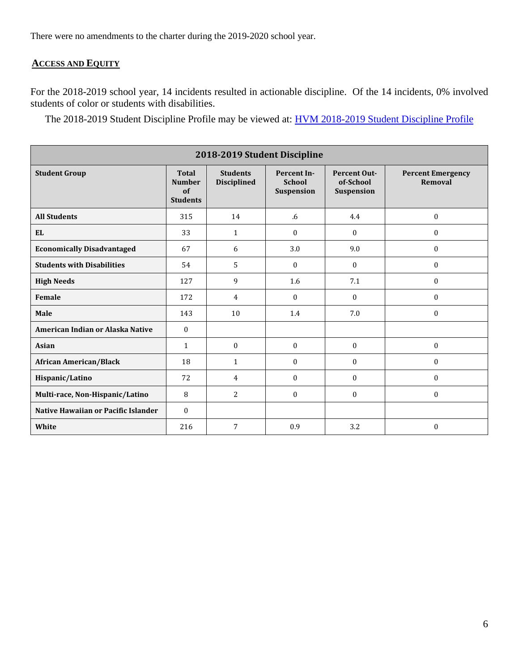There were no amendments to the charter during the 2019-2020 school year.

## <span id="page-5-0"></span>**ACCESS AND EQUITY**

For the 2018-2019 school year, 14 incidents resulted in actionable discipline. Of the 14 incidents, 0% involved students of color or students with disabilities.

The 2018-2019 Student Discipline Profile may be viewed at: [HVM 2018-2019 Student Discipline Profile](http://profiles.doe.mass.edu/ssdr/?orgcode=04550000&fycode=2019)

<span id="page-5-1"></span>

| 2018-2019 Student Discipline        |                                                        |                                       |                                            |                                                |                                     |
|-------------------------------------|--------------------------------------------------------|---------------------------------------|--------------------------------------------|------------------------------------------------|-------------------------------------|
| <b>Student Group</b>                | <b>Total</b><br><b>Number</b><br>of<br><b>Students</b> | <b>Students</b><br><b>Disciplined</b> | Percent In-<br><b>School</b><br>Suspension | <b>Percent Out-</b><br>of-School<br>Suspension | <b>Percent Emergency</b><br>Removal |
| <b>All Students</b>                 | 315                                                    | 14                                    | .6                                         | 4.4                                            | $\mathbf{0}$                        |
| EL.                                 | 33                                                     | $\mathbf{1}$                          | $\Omega$                                   | $\Omega$                                       | $\boldsymbol{0}$                    |
| <b>Economically Disadvantaged</b>   | 67                                                     | 6                                     | 3.0                                        | 9.0                                            | $\mathbf{0}$                        |
| <b>Students with Disabilities</b>   | 54                                                     | 5                                     | $\Omega$                                   | $\mathbf{0}$                                   | $\boldsymbol{0}$                    |
| <b>High Needs</b>                   | 127                                                    | 9                                     | 1.6                                        | 7.1                                            | $\mathbf{0}$                        |
| Female                              | 172                                                    | $\overline{4}$                        | $\Omega$                                   | $\Omega$                                       | $\mathbf{0}$                        |
| Male                                | 143                                                    | 10                                    | 1.4                                        | 7.0                                            | $\mathbf{0}$                        |
| American Indian or Alaska Native    | $\Omega$                                               |                                       |                                            |                                                |                                     |
| <b>Asian</b>                        | $\mathbf{1}$                                           | $\mathbf{0}$                          | $\mathbf{0}$                               | $\mathbf{0}$                                   | $\boldsymbol{0}$                    |
| <b>African American/Black</b>       | 18                                                     | $\mathbf{1}$                          | $\mathbf{0}$                               | $\mathbf{0}$                                   | $\boldsymbol{0}$                    |
| Hispanic/Latino                     | 72                                                     | 4                                     | $\mathbf{0}$                               | $\Omega$                                       | $\mathbf{0}$                        |
| Multi-race, Non-Hispanic/Latino     | 8                                                      | 2                                     | $\mathbf{0}$                               | $\Omega$                                       | $\mathbf{0}$                        |
| Native Hawaiian or Pacific Islander | $\Omega$                                               |                                       |                                            |                                                |                                     |
| White                               | 216                                                    | 7                                     | 0.9                                        | 3.2                                            | $\Omega$                            |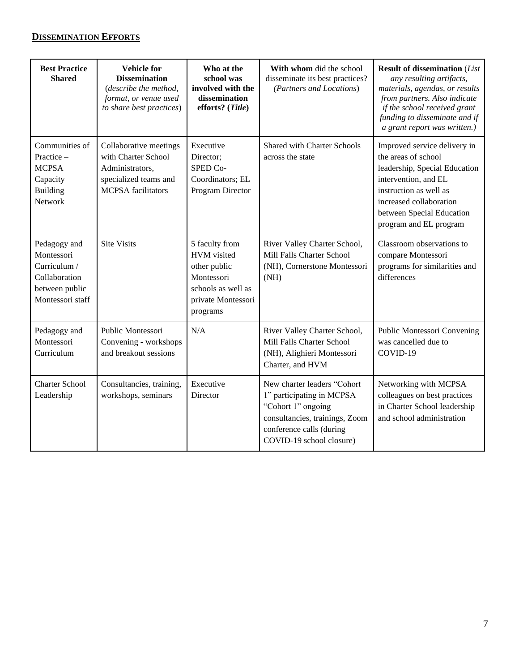## **DISSEMINATION EFFORTS**

| <b>Best Practice</b><br><b>Shared</b>                                                             | <b>Vehicle</b> for<br><b>Dissemination</b><br>(describe the method,<br>format, or venue used<br>to share best practices) | Who at the<br>school was<br>involved with the<br>dissemination<br>efforts? (Title)                                  | With whom did the school<br>disseminate its best practices?<br>(Partners and Locations)                                                                                  | <b>Result of dissemination (List</b><br>any resulting artifacts,<br>materials, agendas, or results<br>from partners. Also indicate<br>if the school received grant<br>funding to disseminate and if<br>a grant report was written.) |
|---------------------------------------------------------------------------------------------------|--------------------------------------------------------------------------------------------------------------------------|---------------------------------------------------------------------------------------------------------------------|--------------------------------------------------------------------------------------------------------------------------------------------------------------------------|-------------------------------------------------------------------------------------------------------------------------------------------------------------------------------------------------------------------------------------|
| Communities of<br>Practice -<br><b>MCPSA</b><br>Capacity<br><b>Building</b><br>Network            | Collaborative meetings<br>with Charter School<br>Administrators,<br>specialized teams and<br><b>MCPSA</b> facilitators   | Executive<br>Director;<br>SPED Co-<br>Coordinators; EL<br>Program Director                                          | <b>Shared with Charter Schools</b><br>across the state                                                                                                                   | Improved service delivery in<br>the areas of school<br>leadership, Special Education<br>intervention, and EL<br>instruction as well as<br>increased collaboration<br>between Special Education<br>program and EL program            |
| Pedagogy and<br>Montessori<br>Curriculum /<br>Collaboration<br>between public<br>Montessori staff | <b>Site Visits</b>                                                                                                       | 5 faculty from<br>HVM visited<br>other public<br>Montessori<br>schools as well as<br>private Montessori<br>programs | River Valley Charter School,<br>Mill Falls Charter School<br>(NH), Cornerstone Montessori<br>(NH)                                                                        | Classroom observations to<br>compare Montessori<br>programs for similarities and<br>differences                                                                                                                                     |
| Pedagogy and<br>Montessori<br>Curriculum                                                          | Public Montessori<br>Convening - workshops<br>and breakout sessions                                                      | N/A                                                                                                                 | River Valley Charter School,<br>Mill Falls Charter School<br>(NH), Alighieri Montessori<br>Charter, and HVM                                                              | Public Montessori Convening<br>was cancelled due to<br>COVID-19                                                                                                                                                                     |
| <b>Charter School</b><br>Leadership                                                               | Consultancies, training,<br>workshops, seminars                                                                          | Executive<br>Director                                                                                               | New charter leaders "Cohort<br>1" participating in MCPSA<br>"Cohort 1" ongoing<br>consultancies, trainings, Zoom<br>conference calls (during<br>COVID-19 school closure) | Networking with MCPSA<br>colleagues on best practices<br>in Charter School leadership<br>and school administration                                                                                                                  |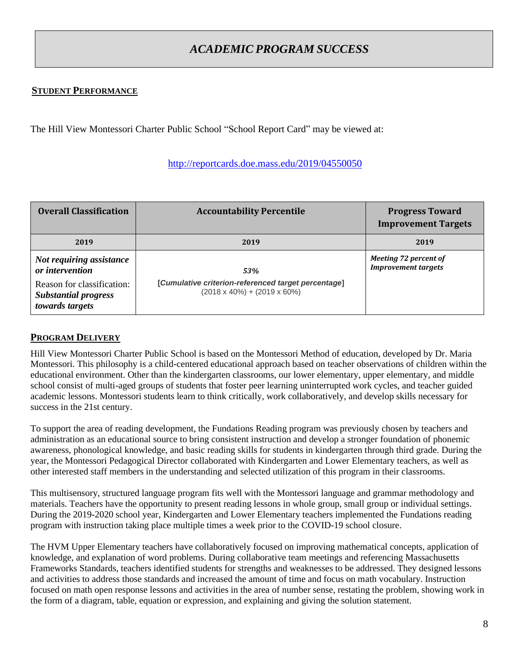# *ACADEMIC PROGRAM SUCCESS*

### <span id="page-7-1"></span><span id="page-7-0"></span>**STUDENT PERFORMANCE**

The Hill View Montessori Charter Public School "School Report Card" may be viewed at:

#### <http://reportcards.doe.mass.edu/2019/04550050>

| <b>Overall Classification</b>                                                | <b>Accountability Percentile</b>                                                                 | <b>Progress Toward</b><br><b>Improvement Targets</b> |
|------------------------------------------------------------------------------|--------------------------------------------------------------------------------------------------|------------------------------------------------------|
| 2019                                                                         | 2019                                                                                             | 2019                                                 |
| Not requiring assistance<br>or intervention                                  | 53%                                                                                              | Meeting 72 percent of<br><b>Improvement targets</b>  |
| Reason for classification:<br><b>Substantial progress</b><br>towards targets | [Cumulative criterion-referenced target percentage]<br>$(2018 \times 40\%) + (2019 \times 60\%)$ |                                                      |

### <span id="page-7-2"></span>**PROGRAM DELIVERY**

Hill View Montessori Charter Public School is based on the Montessori Method of education, developed by Dr. Maria Montessori. This philosophy is a child-centered educational approach based on teacher observations of children within the educational environment. Other than the kindergarten classrooms, our lower elementary, upper elementary, and middle school consist of multi-aged groups of students that foster peer learning uninterrupted work cycles, and teacher guided academic lessons. Montessori students learn to think critically, work collaboratively, and develop skills necessary for success in the 21st century.

To support the area of reading development, the Fundations Reading program was previously chosen by teachers and administration as an educational source to bring consistent instruction and develop a stronger foundation of phonemic awareness, phonological knowledge, and basic reading skills for students in kindergarten through third grade. During the year, the Montessori Pedagogical Director collaborated with Kindergarten and Lower Elementary teachers, as well as other interested staff members in the understanding and selected utilization of this program in their classrooms.

This multisensory, structured language program fits well with the Montessori language and grammar methodology and materials. Teachers have the opportunity to present reading lessons in whole group, small group or individual settings. During the 2019-2020 school year, Kindergarten and Lower Elementary teachers implemented the Fundations reading program with instruction taking place multiple times a week prior to the COVID-19 school closure.

The HVM Upper Elementary teachers have collaboratively focused on improving mathematical concepts, application of knowledge, and explanation of word problems. During collaborative team meetings and referencing Massachusetts Frameworks Standards, teachers identified students for strengths and weaknesses to be addressed. They designed lessons and activities to address those standards and increased the amount of time and focus on math vocabulary. Instruction focused on math open response lessons and activities in the area of number sense, restating the problem, showing work in the form of a diagram, table, equation or expression, and explaining and giving the solution statement.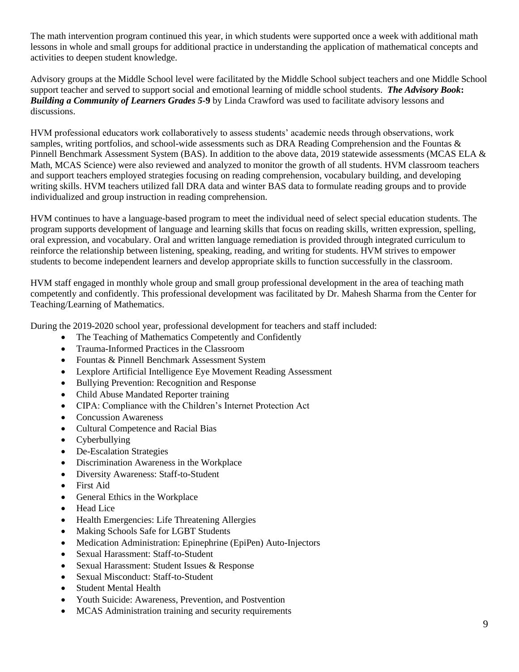The math intervention program continued this year, in which students were supported once a week with additional math lessons in whole and small groups for additional practice in understanding the application of mathematical concepts and activities to deepen student knowledge.

Advisory groups at the Middle School level were facilitated by the Middle School subject teachers and one Middle School support teacher and served to support social and emotional learning of middle school students. *The Advisory Book***:** *Building a Community of Learners Grades 5-***9** by Linda Crawford was used to facilitate advisory lessons and discussions.

HVM professional educators work collaboratively to assess students' academic needs through observations, work samples, writing portfolios, and school-wide assessments such as DRA Reading Comprehension and the Fountas & Pinnell Benchmark Assessment System (BAS). In addition to the above data, 2019 statewide assessments (MCAS ELA & Math, MCAS Science) were also reviewed and analyzed to monitor the growth of all students. HVM classroom teachers and support teachers employed strategies focusing on reading comprehension, vocabulary building, and developing writing skills. HVM teachers utilized fall DRA data and winter BAS data to formulate reading groups and to provide individualized and group instruction in reading comprehension.

HVM continues to have a language-based program to meet the individual need of select special education students. The program supports development of language and learning skills that focus on reading skills, written expression, spelling, oral expression, and vocabulary. Oral and written language remediation is provided through integrated curriculum to reinforce the relationship between listening, speaking, reading, and writing for students. HVM strives to empower students to become independent learners and develop appropriate skills to function successfully in the classroom.

HVM staff engaged in monthly whole group and small group professional development in the area of teaching math competently and confidently. This professional development was facilitated by Dr. Mahesh Sharma from the Center for Teaching/Learning of Mathematics.

During the 2019-2020 school year, professional development for teachers and staff included:

- The Teaching of Mathematics Competently and Confidently
- Trauma-Informed Practices in the Classroom
- Fountas & Pinnell Benchmark Assessment System
- Lexplore Artificial Intelligence Eye Movement Reading Assessment
- Bullying Prevention: Recognition and Response
- Child Abuse Mandated Reporter training
- CIPA: Compliance with the Children's Internet Protection Act
- Concussion Awareness
- Cultural Competence and Racial Bias
- Cyberbullying
- De-Escalation Strategies
- Discrimination Awareness in the Workplace
- Diversity Awareness: Staff-to-Student
- First Aid
- General Ethics in the Workplace
- Head Lice
- Health Emergencies: Life Threatening Allergies
- Making Schools Safe for LGBT Students
- Medication Administration: Epinephrine (EpiPen) Auto-Injectors
- Sexual Harassment: Staff-to-Student
- Sexual Harassment: Student Issues & Response
- Sexual Misconduct: Staff-to-Student
- Student Mental Health
- Youth Suicide: Awareness, Prevention, and Postvention
- MCAS Administration training and security requirements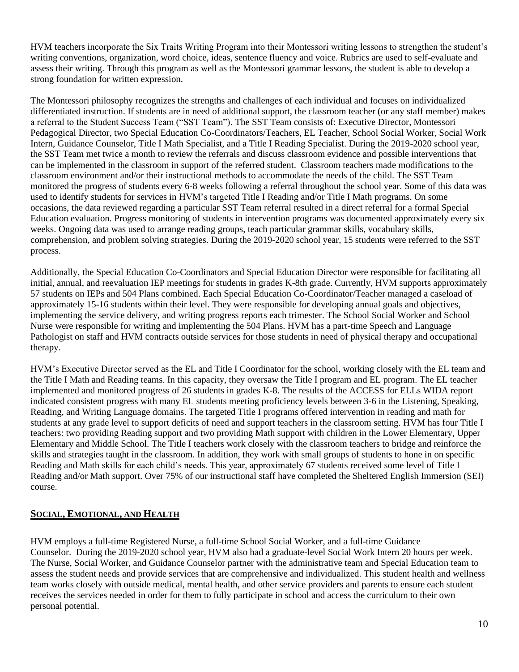HVM teachers incorporate the Six Traits Writing Program into their Montessori writing lessons to strengthen the student's writing conventions, organization, word choice, ideas, sentence fluency and voice. Rubrics are used to self-evaluate and assess their writing. Through this program as well as the Montessori grammar lessons, the student is able to develop a strong foundation for written expression.

The Montessori philosophy recognizes the strengths and challenges of each individual and focuses on individualized differentiated instruction. If students are in need of additional support, the classroom teacher (or any staff member) makes a referral to the Student Success Team ("SST Team"). The SST Team consists of: Executive Director, Montessori Pedagogical Director, two Special Education Co-Coordinators/Teachers, EL Teacher, School Social Worker, Social Work Intern, Guidance Counselor, Title I Math Specialist, and a Title I Reading Specialist. During the 2019-2020 school year, the SST Team met twice a month to review the referrals and discuss classroom evidence and possible interventions that can be implemented in the classroom in support of the referred student. Classroom teachers made modifications to the classroom environment and/or their instructional methods to accommodate the needs of the child. The SST Team monitored the progress of students every 6-8 weeks following a referral throughout the school year. Some of this data was used to identify students for services in HVM's targeted Title I Reading and/or Title I Math programs. On some occasions, the data reviewed regarding a particular SST Team referral resulted in a direct referral for a formal Special Education evaluation. Progress monitoring of students in intervention programs was documented approximately every six weeks. Ongoing data was used to arrange reading groups, teach particular grammar skills, vocabulary skills, comprehension, and problem solving strategies. During the 2019-2020 school year, 15 students were referred to the SST process.

Additionally, the Special Education Co-Coordinators and Special Education Director were responsible for facilitating all initial, annual, and reevaluation IEP meetings for students in grades K-8th grade. Currently, HVM supports approximately 57 students on IEPs and 504 Plans combined. Each Special Education Co-Coordinator/Teacher managed a caseload of approximately 15-16 students within their level. They were responsible for developing annual goals and objectives, implementing the service delivery, and writing progress reports each trimester. The School Social Worker and School Nurse were responsible for writing and implementing the 504 Plans. HVM has a part-time Speech and Language Pathologist on staff and HVM contracts outside services for those students in need of physical therapy and occupational therapy.

HVM's Executive Director served as the EL and Title I Coordinator for the school, working closely with the EL team and the Title I Math and Reading teams. In this capacity, they oversaw the Title I program and EL program. The EL teacher implemented and monitored progress of 26 students in grades K-8. The results of the ACCESS for ELLs WIDA report indicated consistent progress with many EL students meeting proficiency levels between 3-6 in the Listening, Speaking, Reading, and Writing Language domains. The targeted Title I programs offered intervention in reading and math for students at any grade level to support deficits of need and support teachers in the classroom setting. HVM has four Title I teachers: two providing Reading support and two providing Math support with children in the Lower Elementary, Upper Elementary and Middle School. The Title I teachers work closely with the classroom teachers to bridge and reinforce the skills and strategies taught in the classroom. In addition, they work with small groups of students to hone in on specific Reading and Math skills for each child's needs. This year, approximately 67 students received some level of Title I Reading and/or Math support. Over 75% of our instructional staff have completed the Sheltered English Immersion (SEI) course.

## <span id="page-9-0"></span>**SOCIAL, EMOTIONAL, AND HEALTH**

HVM employs a full-time Registered Nurse, a full-time School Social Worker, and a full-time Guidance Counselor. During the 2019-2020 school year, HVM also had a graduate-level Social Work Intern 20 hours per week. The Nurse, Social Worker, and Guidance Counselor partner with the administrative team and Special Education team to assess the student needs and provide services that are comprehensive and individualized. This student health and wellness team works closely with outside medical, mental health, and other service providers and parents to ensure each student receives the services needed in order for them to fully participate in school and access the curriculum to their own personal potential.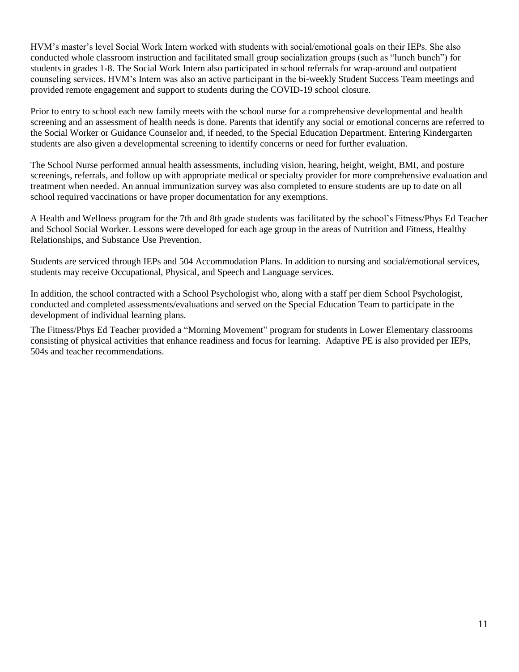HVM's master's level Social Work Intern worked with students with social/emotional goals on their IEPs. She also conducted whole classroom instruction and facilitated small group socialization groups (such as "lunch bunch") for students in grades 1-8. The Social Work Intern also participated in school referrals for wrap-around and outpatient counseling services. HVM's Intern was also an active participant in the bi-weekly Student Success Team meetings and provided remote engagement and support to students during the COVID-19 school closure.

Prior to entry to school each new family meets with the school nurse for a comprehensive developmental and health screening and an assessment of health needs is done. Parents that identify any social or emotional concerns are referred to the Social Worker or Guidance Counselor and, if needed, to the Special Education Department. Entering Kindergarten students are also given a developmental screening to identify concerns or need for further evaluation.

The School Nurse performed annual health assessments, including vision, hearing, height, weight, BMI, and posture screenings, referrals, and follow up with appropriate medical or specialty provider for more comprehensive evaluation and treatment when needed. An annual immunization survey was also completed to ensure students are up to date on all school required vaccinations or have proper documentation for any exemptions.

A Health and Wellness program for the 7th and 8th grade students was facilitated by the school's Fitness/Phys Ed Teacher and School Social Worker. Lessons were developed for each age group in the areas of Nutrition and Fitness, Healthy Relationships, and Substance Use Prevention.

Students are serviced through IEPs and 504 Accommodation Plans. In addition to nursing and social/emotional services, students may receive Occupational, Physical, and Speech and Language services.

In addition, the school contracted with a School Psychologist who, along with a staff per diem School Psychologist, conducted and completed assessments/evaluations and served on the Special Education Team to participate in the development of individual learning plans.

The Fitness/Phys Ed Teacher provided a "Morning Movement" program for students in Lower Elementary classrooms consisting of physical activities that enhance readiness and focus for learning. Adaptive PE is also provided per IEPs, 504s and teacher recommendations.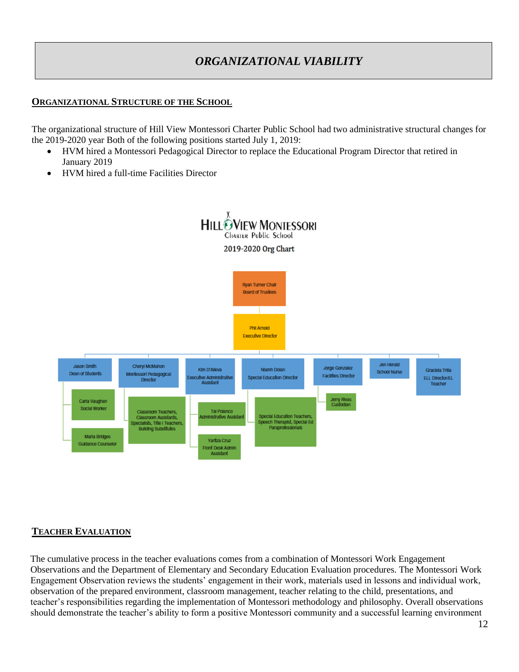# *ORGANIZATIONAL VIABILITY*

### <span id="page-11-1"></span><span id="page-11-0"></span>**ORGANIZATIONAL STRUCTURE OF THE SCHOOL**

The organizational structure of Hill View Montessori Charter Public School had two administrative structural changes for the 2019-2020 year Both of the following positions started July 1, 2019:

- HVM hired a Montessori Pedagogical Director to replace the Educational Program Director that retired in January 2019
- HVM hired a full-time Facilities Director



### <span id="page-11-2"></span>**TEACHER EVALUATION**

The cumulative process in the teacher evaluations comes from a combination of Montessori Work Engagement Observations and the Department of Elementary and Secondary Education Evaluation procedures. The Montessori Work Engagement Observation reviews the students' engagement in their work, materials used in lessons and individual work, observation of the prepared environment, classroom management, teacher relating to the child, presentations, and teacher's responsibilities regarding the implementation of Montessori methodology and philosophy. Overall observations should demonstrate the teacher's ability to form a positive Montessori community and a successful learning environment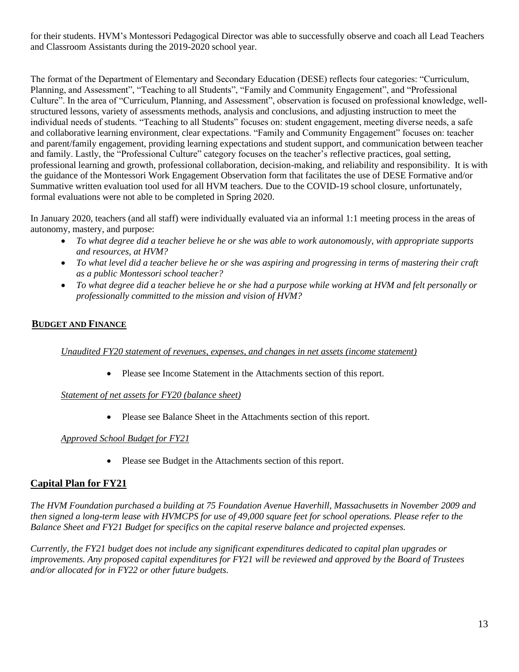for their students. HVM's Montessori Pedagogical Director was able to successfully observe and coach all Lead Teachers and Classroom Assistants during the 2019-2020 school year.

The format of the Department of Elementary and Secondary Education (DESE) reflects four categories: "Curriculum, Planning, and Assessment", "Teaching to all Students", "Family and Community Engagement", and "Professional Culture". In the area of "Curriculum, Planning, and Assessment", observation is focused on professional knowledge, wellstructured lessons, variety of assessments methods, analysis and conclusions, and adjusting instruction to meet the individual needs of students. "Teaching to all Students" focuses on: student engagement, meeting diverse needs, a safe and collaborative learning environment, clear expectations. "Family and Community Engagement" focuses on: teacher and parent/family engagement, providing learning expectations and student support, and communication between teacher and family. Lastly, the "Professional Culture" category focuses on the teacher's reflective practices, goal setting, professional learning and growth, professional collaboration, decision-making, and reliability and responsibility. It is with the guidance of the Montessori Work Engagement Observation form that facilitates the use of DESE Formative and/or Summative written evaluation tool used for all HVM teachers. Due to the COVID-19 school closure, unfortunately, formal evaluations were not able to be completed in Spring 2020.

In January 2020, teachers (and all staff) were individually evaluated via an informal 1:1 meeting process in the areas of autonomy, mastery, and purpose:

- *To what degree did a teacher believe he or she was able to work autonomously, with appropriate supports and resources, at HVM?*
- *To what level did a teacher believe he or she was aspiring and progressing in terms of mastering their craft as a public Montessori school teacher?*
- *To what degree did a teacher believe he or she had a purpose while working at HVM and felt personally or professionally committed to the mission and vision of HVM?*

## <span id="page-12-0"></span>**BUDGET AND FINANCE**

*Unaudited FY20 statement of revenues, expenses, and changes in net assets (income statement)*

• Please see Income Statement in the Attachments section of this report.

### *Statement of net assets for FY20 (balance sheet)*

• Please see Balance Sheet in the Attachments section of this report.

### *Approved School Budget for FY21*

• Please see Budget in the Attachments section of this report.

### **Capital Plan for FY21**

*The HVM Foundation purchased a building at 75 Foundation Avenue Haverhill, Massachusetts in November 2009 and then signed a long-term lease with HVMCPS for use of 49,000 square feet for school operations. Please refer to the Balance Sheet and FY21 Budget for specifics on the capital reserve balance and projected expenses.*

*Currently, the FY21 budget does not include any significant expenditures dedicated to capital plan upgrades or improvements. Any proposed capital expenditures for FY21 will be reviewed and approved by the Board of Trustees and/or allocated for in FY22 or other future budgets.*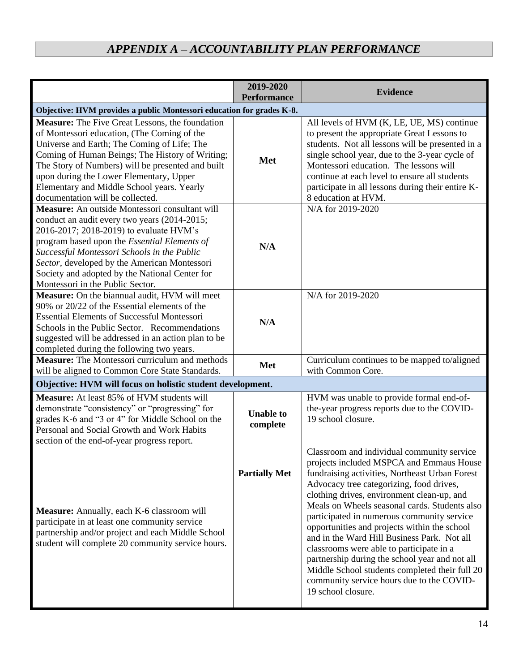# *APPENDIX A – ACCOUNTABILITY PLAN PERFORMANCE*

<span id="page-13-0"></span>

|                                                                                                                                                                                                                                                                                                                                                                                           | 2019-2020<br><b>Performance</b> | <b>Evidence</b>                                                                                                                                                                                                                                                                                                                                                                                                                                                                                                                                                                                                                                     |
|-------------------------------------------------------------------------------------------------------------------------------------------------------------------------------------------------------------------------------------------------------------------------------------------------------------------------------------------------------------------------------------------|---------------------------------|-----------------------------------------------------------------------------------------------------------------------------------------------------------------------------------------------------------------------------------------------------------------------------------------------------------------------------------------------------------------------------------------------------------------------------------------------------------------------------------------------------------------------------------------------------------------------------------------------------------------------------------------------------|
| Objective: HVM provides a public Montessori education for grades K-8.                                                                                                                                                                                                                                                                                                                     |                                 |                                                                                                                                                                                                                                                                                                                                                                                                                                                                                                                                                                                                                                                     |
| <b>Measure:</b> The Five Great Lessons, the foundation<br>of Montessori education, (The Coming of the<br>Universe and Earth; The Coming of Life; The<br>Coming of Human Beings; The History of Writing;<br>The Story of Numbers) will be presented and built<br>upon during the Lower Elementary, Upper<br>Elementary and Middle School years. Yearly<br>documentation will be collected. | Met                             | All levels of HVM (K, LE, UE, MS) continue<br>to present the appropriate Great Lessons to<br>students. Not all lessons will be presented in a<br>single school year, due to the 3-year cycle of<br>Montessori education. The lessons will<br>continue at each level to ensure all students<br>participate in all lessons during their entire K-<br>8 education at HVM.                                                                                                                                                                                                                                                                              |
| Measure: An outside Montessori consultant will<br>conduct an audit every two years (2014-2015;<br>2016-2017; 2018-2019) to evaluate HVM's<br>program based upon the <i>Essential Elements of</i><br>Successful Montessori Schools in the Public<br>Sector, developed by the American Montessori<br>Society and adopted by the National Center for<br>Montessori in the Public Sector.     | N/A                             | N/A for 2019-2020                                                                                                                                                                                                                                                                                                                                                                                                                                                                                                                                                                                                                                   |
| Measure: On the biannual audit, HVM will meet<br>90% or 20/22 of the Essential elements of the<br><b>Essential Elements of Successful Montessori</b><br>Schools in the Public Sector. Recommendations<br>suggested will be addressed in an action plan to be<br>completed during the following two years.                                                                                 | N/A                             | N/A for 2019-2020                                                                                                                                                                                                                                                                                                                                                                                                                                                                                                                                                                                                                                   |
| <b>Measure:</b> The Montessori curriculum and methods<br>will be aligned to Common Core State Standards.                                                                                                                                                                                                                                                                                  | Met                             | Curriculum continues to be mapped to/aligned<br>with Common Core.                                                                                                                                                                                                                                                                                                                                                                                                                                                                                                                                                                                   |
| Objective: HVM will focus on holistic student development.                                                                                                                                                                                                                                                                                                                                |                                 |                                                                                                                                                                                                                                                                                                                                                                                                                                                                                                                                                                                                                                                     |
| Measure: At least 85% of HVM students will<br>demonstrate "consistency" or "progressing" for<br>grades K-6 and "3 or 4" for Middle School on the<br>Personal and Social Growth and Work Habits<br>section of the end-of-year progress report.                                                                                                                                             | <b>Unable to</b><br>complete    | HVM was unable to provide formal end-of-<br>the-year progress reports due to the COVID-<br>19 school closure.                                                                                                                                                                                                                                                                                                                                                                                                                                                                                                                                       |
| <b>Measure:</b> Annually, each K-6 classroom will<br>participate in at least one community service<br>partnership and/or project and each Middle School<br>student will complete 20 community service hours.                                                                                                                                                                              | <b>Partially Met</b>            | Classroom and individual community service<br>projects included MSPCA and Emmaus House<br>fundraising activities, Northeast Urban Forest<br>Advocacy tree categorizing, food drives,<br>clothing drives, environment clean-up, and<br>Meals on Wheels seasonal cards. Students also<br>participated in numerous community service<br>opportunities and projects within the school<br>and in the Ward Hill Business Park. Not all<br>classrooms were able to participate in a<br>partnership during the school year and not all<br>Middle School students completed their full 20<br>community service hours due to the COVID-<br>19 school closure. |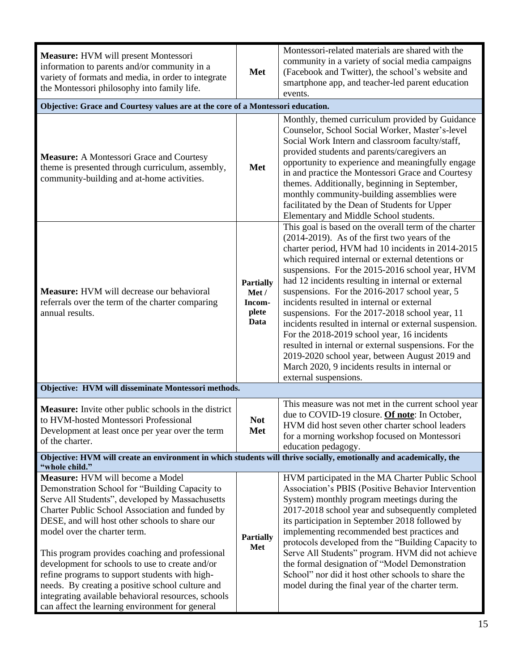| Measure: HVM will present Montessori<br>information to parents and/or community in a<br>variety of formats and media, in order to integrate<br>the Montessori philosophy into family life.                                                                                                                                                                                                                                                                                                                                                                                                       | Met                                                  | Montessori-related materials are shared with the<br>community in a variety of social media campaigns<br>(Facebook and Twitter), the school's website and<br>smartphone app, and teacher-led parent education<br>events.                                                                                                                                                                                                                                                                                                                                                                                                                                                                                                                                                   |  |
|--------------------------------------------------------------------------------------------------------------------------------------------------------------------------------------------------------------------------------------------------------------------------------------------------------------------------------------------------------------------------------------------------------------------------------------------------------------------------------------------------------------------------------------------------------------------------------------------------|------------------------------------------------------|---------------------------------------------------------------------------------------------------------------------------------------------------------------------------------------------------------------------------------------------------------------------------------------------------------------------------------------------------------------------------------------------------------------------------------------------------------------------------------------------------------------------------------------------------------------------------------------------------------------------------------------------------------------------------------------------------------------------------------------------------------------------------|--|
| Objective: Grace and Courtesy values are at the core of a Montessori education.                                                                                                                                                                                                                                                                                                                                                                                                                                                                                                                  |                                                      |                                                                                                                                                                                                                                                                                                                                                                                                                                                                                                                                                                                                                                                                                                                                                                           |  |
| <b>Measure:</b> A Montessori Grace and Courtesy<br>theme is presented through curriculum, assembly,<br>community-building and at-home activities.                                                                                                                                                                                                                                                                                                                                                                                                                                                | Met                                                  | Monthly, themed curriculum provided by Guidance<br>Counselor, School Social Worker, Master's-level<br>Social Work Intern and classroom faculty/staff,<br>provided students and parents/caregivers an<br>opportunity to experience and meaningfully engage<br>in and practice the Montessori Grace and Courtesy<br>themes. Additionally, beginning in September,<br>monthly community-building assemblies were<br>facilitated by the Dean of Students for Upper<br>Elementary and Middle School students.                                                                                                                                                                                                                                                                  |  |
| <b>Measure:</b> HVM will decrease our behavioral<br>referrals over the term of the charter comparing<br>annual results.                                                                                                                                                                                                                                                                                                                                                                                                                                                                          | <b>Partially</b><br>Met /<br>Incom-<br>plete<br>Data | This goal is based on the overall term of the charter<br>(2014-2019). As of the first two years of the<br>charter period, HVM had 10 incidents in 2014-2015<br>which required internal or external detentions or<br>suspensions. For the 2015-2016 school year, HVM<br>had 12 incidents resulting in internal or external<br>suspensions. For the 2016-2017 school year, 5<br>incidents resulted in internal or external<br>suspensions. For the 2017-2018 school year, 11<br>incidents resulted in internal or external suspension.<br>For the 2018-2019 school year, 16 incidents<br>resulted in internal or external suspensions. For the<br>2019-2020 school year, between August 2019 and<br>March 2020, 9 incidents results in internal or<br>external suspensions. |  |
| Objective: HVM will disseminate Montessori methods.                                                                                                                                                                                                                                                                                                                                                                                                                                                                                                                                              |                                                      |                                                                                                                                                                                                                                                                                                                                                                                                                                                                                                                                                                                                                                                                                                                                                                           |  |
| <b>Measure:</b> Invite other public schools in the district<br>to HVM-hosted Montessori Professional<br>Development at least once per year over the term<br>of the charter.                                                                                                                                                                                                                                                                                                                                                                                                                      | <b>Not</b><br>Met                                    | This measure was not met in the current school year<br>due to COVID-19 closure. Of note: In October,<br>HVM did host seven other charter school leaders<br>for a morning workshop focused on Montessori<br>education pedagogy.                                                                                                                                                                                                                                                                                                                                                                                                                                                                                                                                            |  |
| Objective: HVM will create an environment in which students will thrive socially, emotionally and academically, the<br>"whole child."                                                                                                                                                                                                                                                                                                                                                                                                                                                            |                                                      |                                                                                                                                                                                                                                                                                                                                                                                                                                                                                                                                                                                                                                                                                                                                                                           |  |
| Measure: HVM will become a Model<br>Demonstration School for "Building Capacity to<br>Serve All Students", developed by Massachusetts<br>Charter Public School Association and funded by<br>DESE, and will host other schools to share our<br>model over the charter term.<br>This program provides coaching and professional<br>development for schools to use to create and/or<br>refine programs to support students with high-<br>needs. By creating a positive school culture and<br>integrating available behavioral resources, schools<br>can affect the learning environment for general | <b>Partially</b><br>Met                              | HVM participated in the MA Charter Public School<br>Association's PBIS (Positive Behavior Intervention<br>System) monthly program meetings during the<br>2017-2018 school year and subsequently completed<br>its participation in September 2018 followed by<br>implementing recommended best practices and<br>protocols developed from the "Building Capacity to<br>Serve All Students" program. HVM did not achieve<br>the formal designation of "Model Demonstration<br>School" nor did it host other schools to share the<br>model during the final year of the charter term.                                                                                                                                                                                         |  |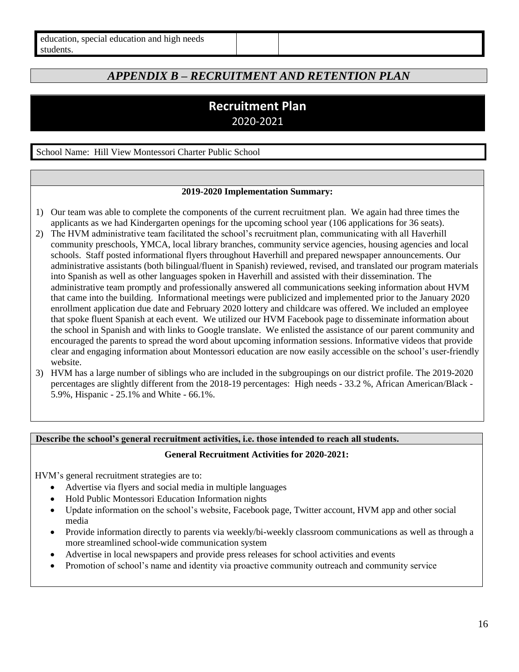<span id="page-15-0"></span>

| special education and high needs<br>education, |  |
|------------------------------------------------|--|
| students.                                      |  |

# *APPENDIX B – RECRUITMENT AND RETENTION PLAN*

# **Recruitment Plan** 2020-2021

School Name: Hill View Montessori Charter Public School

#### **2019-2020 Implementation Summary:**

- 1) Our team was able to complete the components of the current recruitment plan. We again had three times the applicants as we had Kindergarten openings for the upcoming school year (106 applications for 36 seats).
- 2) The HVM administrative team facilitated the school's recruitment plan, communicating with all Haverhill community preschools, YMCA, local library branches, community service agencies, housing agencies and local schools. Staff posted informational flyers throughout Haverhill and prepared newspaper announcements. Our administrative assistants (both bilingual/fluent in Spanish) reviewed, revised, and translated our program materials into Spanish as well as other languages spoken in Haverhill and assisted with their dissemination. The administrative team promptly and professionally answered all communications seeking information about HVM that came into the building. Informational meetings were publicized and implemented prior to the January 2020 enrollment application due date and February 2020 lottery and childcare was offered. We included an employee that spoke fluent Spanish at each event. We utilized our HVM Facebook page to disseminate information about the school in Spanish and with links to Google translate. We enlisted the assistance of our parent community and encouraged the parents to spread the word about upcoming information sessions. Informative videos that provide clear and engaging information about Montessori education are now easily accessible on the school's user-friendly website.
- 3) HVM has a large number of siblings who are included in the subgroupings on our district profile. The 2019-2020 percentages are slightly different from the 2018-19 percentages: High needs - 33.2 %, African American/Black - 5.9%, Hispanic - 25.1% and White - 66.1%.

#### **Describe the school's general recruitment activities, i.e. those intended to reach all students.**

**General Recruitment Activities for 2020-2021:**

HVM's general recruitment strategies are to:

- Advertise via flyers and social media in multiple languages
- Hold Public Montessori Education Information nights
- Update information on the school's website, Facebook page, Twitter account, HVM app and other social media
- Provide information directly to parents via weekly/bi-weekly classroom communications as well as through a more streamlined school-wide communication system
- Advertise in local newspapers and provide press releases for school activities and events
- Promotion of school's name and identity via proactive community outreach and community service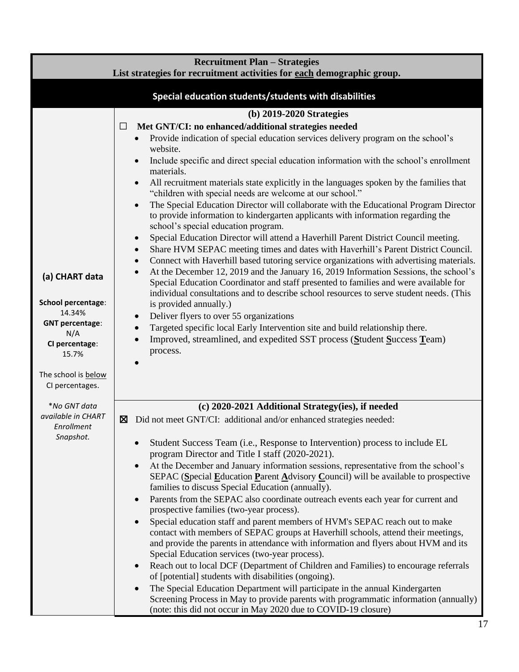|                              | <b>Recruitment Plan – Strategies</b><br>List strategies for recruitment activities for each demographic group.                                                                                         |
|------------------------------|--------------------------------------------------------------------------------------------------------------------------------------------------------------------------------------------------------|
|                              |                                                                                                                                                                                                        |
|                              | Special education students/students with disabilities                                                                                                                                                  |
|                              | (b) 2019-2020 Strategies                                                                                                                                                                               |
|                              | Met GNT/CI: no enhanced/additional strategies needed<br>□                                                                                                                                              |
|                              | Provide indication of special education services delivery program on the school's<br>$\bullet$                                                                                                         |
|                              | website.                                                                                                                                                                                               |
|                              | Include specific and direct special education information with the school's enrollment<br>$\bullet$                                                                                                    |
|                              | materials.                                                                                                                                                                                             |
|                              | All recruitment materials state explicitly in the languages spoken by the families that<br>$\bullet$<br>"children with special needs are welcome at our school."                                       |
|                              | The Special Education Director will collaborate with the Educational Program Director<br>$\bullet$                                                                                                     |
|                              | to provide information to kindergarten applicants with information regarding the                                                                                                                       |
|                              | school's special education program.                                                                                                                                                                    |
|                              | Special Education Director will attend a Haverhill Parent District Council meeting.<br>$\bullet$                                                                                                       |
|                              | Share HVM SEPAC meeting times and dates with Haverhill's Parent District Council.<br>$\bullet$<br>Connect with Haverhill based tutoring service organizations with advertising materials.<br>$\bullet$ |
|                              | At the December 12, 2019 and the January 16, 2019 Information Sessions, the school's<br>$\bullet$                                                                                                      |
| (a) CHART data               | Special Education Coordinator and staff presented to families and were available for                                                                                                                   |
|                              | individual consultations and to describe school resources to serve student needs. (This                                                                                                                |
| School percentage:<br>14.34% | is provided annually.)                                                                                                                                                                                 |
| <b>GNT percentage:</b>       | Deliver flyers to over 55 organizations<br>$\bullet$                                                                                                                                                   |
| N/A                          | Targeted specific local Early Intervention site and build relationship there.<br>$\bullet$<br>Improved, streamlined, and expedited SST process (Student Success Team)                                  |
| CI percentage:               | process.                                                                                                                                                                                               |
| 15.7%                        | $\bullet$                                                                                                                                                                                              |
| The school is below          |                                                                                                                                                                                                        |
| CI percentages.              |                                                                                                                                                                                                        |
| *No GNT data                 | (c) 2020-2021 Additional Strategy(ies), if needed                                                                                                                                                      |
| available in CHART           | Did not meet GNT/CI: additional and/or enhanced strategies needed:<br>⊠                                                                                                                                |
| Enrollment                   |                                                                                                                                                                                                        |
| Snapshot.                    | Student Success Team (i.e., Response to Intervention) process to include EL<br>$\bullet$                                                                                                               |
|                              | program Director and Title I staff (2020-2021).                                                                                                                                                        |
|                              | At the December and January information sessions, representative from the school's<br>$\bullet$                                                                                                        |
|                              | SEPAC (Special Education Parent Advisory Council) will be available to prospective<br>families to discuss Special Education (annually).                                                                |
|                              | Parents from the SEPAC also coordinate outreach events each year for current and<br>$\bullet$                                                                                                          |
|                              | prospective families (two-year process).                                                                                                                                                               |
|                              | Special education staff and parent members of HVM's SEPAC reach out to make<br>$\bullet$                                                                                                               |
|                              | contact with members of SEPAC groups at Haverhill schools, attend their meetings,                                                                                                                      |
|                              | and provide the parents in attendance with information and flyers about HVM and its<br>Special Education services (two-year process).                                                                  |
|                              | Reach out to local DCF (Department of Children and Families) to encourage referrals<br>$\bullet$                                                                                                       |
|                              | of [potential] students with disabilities (ongoing).                                                                                                                                                   |
|                              | The Special Education Department will participate in the annual Kindergarten<br>$\bullet$                                                                                                              |
|                              | Screening Process in May to provide parents with programmatic information (annually)                                                                                                                   |
|                              | (note: this did not occur in May 2020 due to COVID-19 closure)                                                                                                                                         |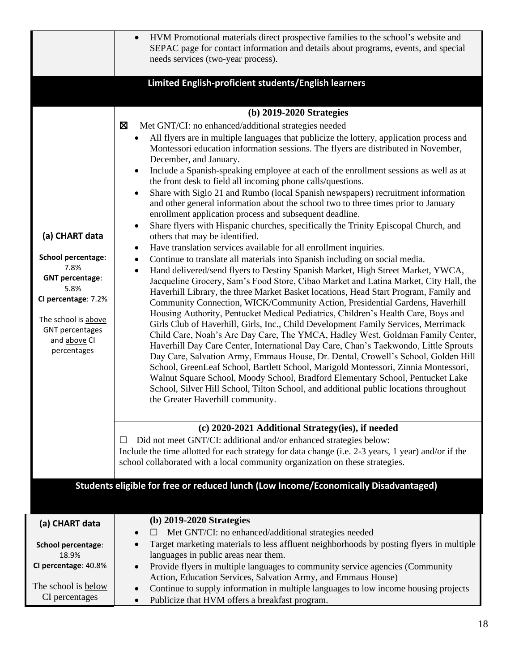|                                                                              | HVM Promotional materials direct prospective families to the school's website and<br>$\bullet$<br>SEPAC page for contact information and details about programs, events, and special<br>needs services (two-year process).                                                                                                                         |
|------------------------------------------------------------------------------|----------------------------------------------------------------------------------------------------------------------------------------------------------------------------------------------------------------------------------------------------------------------------------------------------------------------------------------------------|
|                                                                              | Limited English-proficient students/English learners                                                                                                                                                                                                                                                                                               |
|                                                                              | (b) 2019-2020 Strategies                                                                                                                                                                                                                                                                                                                           |
|                                                                              | X<br>Met GNT/CI: no enhanced/additional strategies needed                                                                                                                                                                                                                                                                                          |
|                                                                              | All flyers are in multiple languages that publicize the lottery, application process and<br>Montessori education information sessions. The flyers are distributed in November,<br>December, and January.                                                                                                                                           |
|                                                                              | Include a Spanish-speaking employee at each of the enrollment sessions as well as at<br>the front desk to field all incoming phone calls/questions.                                                                                                                                                                                                |
|                                                                              | Share with Siglo 21 and Rumbo (local Spanish newspapers) recruitment information<br>and other general information about the school two to three times prior to January<br>enrollment application process and subsequent deadline.                                                                                                                  |
| (a) CHART data                                                               | Share flyers with Hispanic churches, specifically the Trinity Episcopal Church, and<br>$\bullet$<br>others that may be identified.                                                                                                                                                                                                                 |
| School percentage:<br>7.8%                                                   | Have translation services available for all enrollment inquiries.<br>$\bullet$<br>Continue to translate all materials into Spanish including on social media.<br>$\bullet$<br>Hand delivered/send flyers to Destiny Spanish Market, High Street Market, YWCA,<br>$\bullet$                                                                         |
| <b>GNT percentage:</b><br>5.8%                                               | Jacqueline Grocery, Sam's Food Store, Cibao Market and Latina Market, City Hall, the<br>Haverhill Library, the three Market Basket locations, Head Start Program, Family and                                                                                                                                                                       |
| CI percentage: 7.2%                                                          | Community Connection, WICK/Community Action, Presidential Gardens, Haverhill                                                                                                                                                                                                                                                                       |
| The school is above<br><b>GNT</b> percentages<br>and above CI<br>percentages | Housing Authority, Pentucket Medical Pediatrics, Children's Health Care, Boys and<br>Girls Club of Haverhill, Girls, Inc., Child Development Family Services, Merrimack<br>Child Care, Noah's Arc Day Care, The YMCA, Hadley West, Goldman Family Center,<br>Haverhill Day Care Center, International Day Care, Chan's Taekwondo, Little Sprouts   |
|                                                                              | Day Care, Salvation Army, Emmaus House, Dr. Dental, Crowell's School, Golden Hill<br>School, GreenLeaf School, Bartlett School, Marigold Montessori, Zinnia Montessori,<br>Walnut Square School, Moody School, Bradford Elementary School, Pentucket Lake<br>School, Silver Hill School, Tilton School, and additional public locations throughout |
|                                                                              | the Greater Haverhill community.                                                                                                                                                                                                                                                                                                                   |
|                                                                              | (c) 2020-2021 Additional Strategy(ies), if needed                                                                                                                                                                                                                                                                                                  |
|                                                                              | Did not meet GNT/CI: additional and/or enhanced strategies below:<br>ப                                                                                                                                                                                                                                                                             |
|                                                                              | Include the time allotted for each strategy for data change (i.e. 2-3 years, 1 year) and/or if the                                                                                                                                                                                                                                                 |
|                                                                              | school collaborated with a local community organization on these strategies.                                                                                                                                                                                                                                                                       |
|                                                                              | Students eligible for free or reduced lunch (Low Income/Economically Disadvantaged)                                                                                                                                                                                                                                                                |
|                                                                              |                                                                                                                                                                                                                                                                                                                                                    |
| (a) CHART data                                                               | (b) 2019-2020 Strategies<br>Met GNT/CI: no enhanced/additional strategies needed<br>$\Box$                                                                                                                                                                                                                                                         |
| School percentage:<br>18.9%                                                  | Target marketing materials to less affluent neighborhoods by posting flyers in multiple<br>languages in public areas near them.                                                                                                                                                                                                                    |
| CI percentage: 40.8%                                                         | Provide flyers in multiple languages to community service agencies (Community<br>Action, Education Services, Salvation Army, and Emmaus House)                                                                                                                                                                                                     |
| The school is below<br>CI percentages                                        | Continue to supply information in multiple languages to low income housing projects<br>Publicize that HVM offers a breakfast program.                                                                                                                                                                                                              |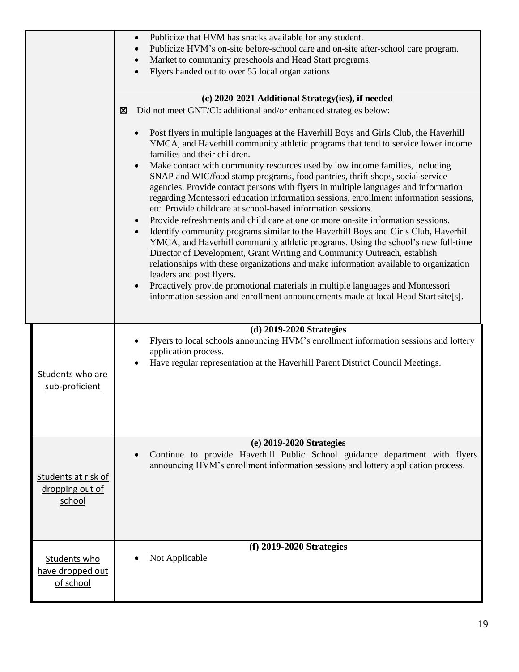|                                                  | Publicize that HVM has snacks available for any student.<br>$\bullet$<br>Publicize HVM's on-site before-school care and on-site after-school care program.<br>Market to community preschools and Head Start programs.<br>$\bullet$<br>Flyers handed out to over 55 local organizations                                                                                                                                                                                                                                                                                                                                                                                                                                                                                                                                                                                                                                                                                                                                                                                                                                                                                                                                                                                                                                                                      |
|--------------------------------------------------|-------------------------------------------------------------------------------------------------------------------------------------------------------------------------------------------------------------------------------------------------------------------------------------------------------------------------------------------------------------------------------------------------------------------------------------------------------------------------------------------------------------------------------------------------------------------------------------------------------------------------------------------------------------------------------------------------------------------------------------------------------------------------------------------------------------------------------------------------------------------------------------------------------------------------------------------------------------------------------------------------------------------------------------------------------------------------------------------------------------------------------------------------------------------------------------------------------------------------------------------------------------------------------------------------------------------------------------------------------------|
|                                                  | (c) 2020-2021 Additional Strategy(ies), if needed                                                                                                                                                                                                                                                                                                                                                                                                                                                                                                                                                                                                                                                                                                                                                                                                                                                                                                                                                                                                                                                                                                                                                                                                                                                                                                           |
|                                                  |                                                                                                                                                                                                                                                                                                                                                                                                                                                                                                                                                                                                                                                                                                                                                                                                                                                                                                                                                                                                                                                                                                                                                                                                                                                                                                                                                             |
|                                                  | Did not meet GNT/CI: additional and/or enhanced strategies below:<br>⊠<br>Post flyers in multiple languages at the Haverhill Boys and Girls Club, the Haverhill<br>YMCA, and Haverhill community athletic programs that tend to service lower income<br>families and their children.<br>Make contact with community resources used by low income families, including<br>SNAP and WIC/food stamp programs, food pantries, thrift shops, social service<br>agencies. Provide contact persons with flyers in multiple languages and information<br>regarding Montessori education information sessions, enrollment information sessions,<br>etc. Provide childcare at school-based information sessions.<br>Provide refreshments and child care at one or more on-site information sessions.<br>$\bullet$<br>Identify community programs similar to the Haverhill Boys and Girls Club, Haverhill<br>YMCA, and Haverhill community athletic programs. Using the school's new full-time<br>Director of Development, Grant Writing and Community Outreach, establish<br>relationships with these organizations and make information available to organization<br>leaders and post flyers.<br>Proactively provide promotional materials in multiple languages and Montessori<br>information session and enrollment announcements made at local Head Start site[s]. |
|                                                  |                                                                                                                                                                                                                                                                                                                                                                                                                                                                                                                                                                                                                                                                                                                                                                                                                                                                                                                                                                                                                                                                                                                                                                                                                                                                                                                                                             |
| Students who are<br>sub-proficient               | $(d)$ 2019-2020 Strategies<br>Flyers to local schools announcing HVM's enrollment information sessions and lottery<br>application process.<br>Have regular representation at the Haverhill Parent District Council Meetings.                                                                                                                                                                                                                                                                                                                                                                                                                                                                                                                                                                                                                                                                                                                                                                                                                                                                                                                                                                                                                                                                                                                                |
|                                                  | (e) 2019-2020 Strategies                                                                                                                                                                                                                                                                                                                                                                                                                                                                                                                                                                                                                                                                                                                                                                                                                                                                                                                                                                                                                                                                                                                                                                                                                                                                                                                                    |
| Students at risk of<br>dropping out of<br>school | Continue to provide Haverhill Public School guidance department with flyers<br>announcing HVM's enrollment information sessions and lottery application process.                                                                                                                                                                                                                                                                                                                                                                                                                                                                                                                                                                                                                                                                                                                                                                                                                                                                                                                                                                                                                                                                                                                                                                                            |
|                                                  | $(f)$ 2019-2020 Strategies                                                                                                                                                                                                                                                                                                                                                                                                                                                                                                                                                                                                                                                                                                                                                                                                                                                                                                                                                                                                                                                                                                                                                                                                                                                                                                                                  |
| Students who<br>have dropped out<br>of school    | Not Applicable                                                                                                                                                                                                                                                                                                                                                                                                                                                                                                                                                                                                                                                                                                                                                                                                                                                                                                                                                                                                                                                                                                                                                                                                                                                                                                                                              |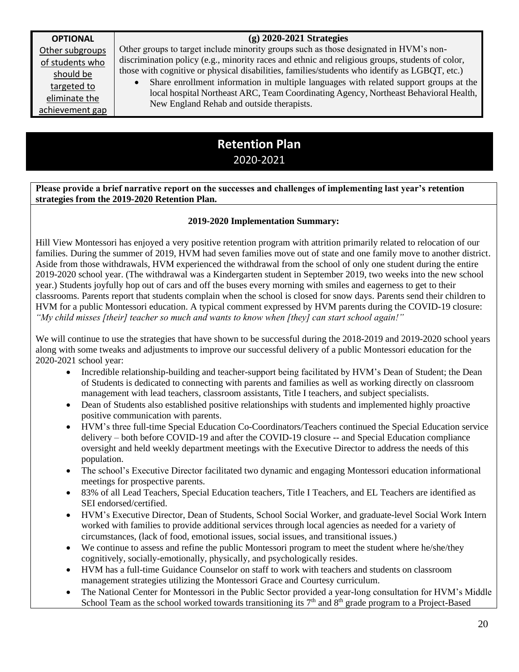### **(g) 2020-2021 Strategies**

**OPTIONAL**  Other subgroups of students who should be targeted to eliminate the achievement gap

Other groups to target include minority groups such as those designated in HVM's nondiscrimination policy (e.g., minority races and ethnic and religious groups, students of color, those with cognitive or physical disabilities, families/students who identify as LGBQT, etc.)

• Share enrollment information in multiple languages with related support groups at the local hospital Northeast ARC, Team Coordinating Agency, Northeast Behavioral Health, New England Rehab and outside therapists.

# **Retention Plan** 2020-2021

**Please provide a brief narrative report on the successes and challenges of implementing last year's retention strategies from the 2019-2020 Retention Plan.** 

#### **2019-2020 Implementation Summary:**

Hill View Montessori has enjoyed a very positive retention program with attrition primarily related to relocation of our families. During the summer of 2019, HVM had seven families move out of state and one family move to another district. Aside from those withdrawals, HVM experienced the withdrawal from the school of only one student during the entire 2019-2020 school year. (The withdrawal was a Kindergarten student in September 2019, two weeks into the new school year.) Students joyfully hop out of cars and off the buses every morning with smiles and eagerness to get to their classrooms. Parents report that students complain when the school is closed for snow days. Parents send their children to HVM for a public Montessori education. A typical comment expressed by HVM parents during the COVID-19 closure: *"My child misses [their] teacher so much and wants to know when [they] can start school again!"*

We will continue to use the strategies that have shown to be successful during the 2018-2019 and 2019-2020 school years along with some tweaks and adjustments to improve our successful delivery of a public Montessori education for the 2020-2021 school year:

- Incredible relationship-building and teacher-support being facilitated by HVM's Dean of Student; the Dean of Students is dedicated to connecting with parents and families as well as working directly on classroom management with lead teachers, classroom assistants, Title I teachers, and subject specialists.
- Dean of Students also established positive relationships with students and implemented highly proactive positive communication with parents.
- HVM's three full-time Special Education Co-Coordinators/Teachers continued the Special Education service delivery – both before COVID-19 and after the COVID-19 closure -- and Special Education compliance oversight and held weekly department meetings with the Executive Director to address the needs of this population.
- The school's Executive Director facilitated two dynamic and engaging Montessori education informational meetings for prospective parents.
- 83% of all Lead Teachers, Special Education teachers, Title I Teachers, and EL Teachers are identified as SEI endorsed/certified.
- HVM's Executive Director, Dean of Students, School Social Worker, and graduate-level Social Work Intern worked with families to provide additional services through local agencies as needed for a variety of circumstances, (lack of food, emotional issues, social issues, and transitional issues.)
- We continue to assess and refine the public Montessori program to meet the student where he/she/they cognitively, socially-emotionally, physically, and psychologically resides.
- HVM has a full-time Guidance Counselor on staff to work with teachers and students on classroom management strategies utilizing the Montessori Grace and Courtesy curriculum.
- The National Center for Montessori in the Public Sector provided a year-long consultation for HVM's Middle School Team as the school worked towards transitioning its  $7<sup>th</sup>$  and  $8<sup>th</sup>$  grade program to a Project-Based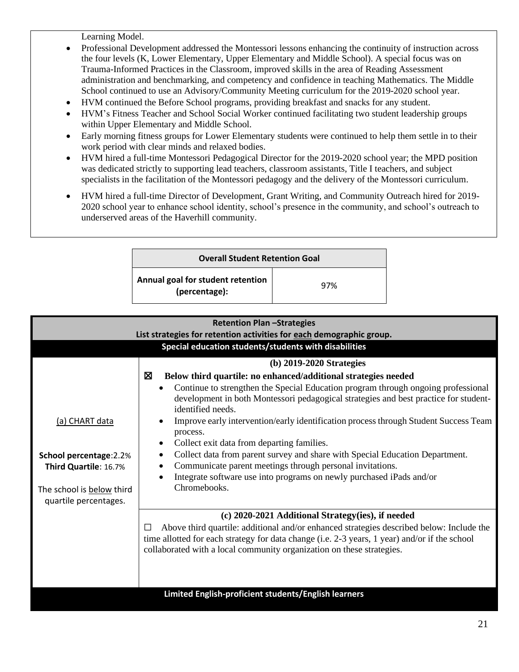Learning Model.

- Professional Development addressed the Montessori lessons enhancing the continuity of instruction across the four levels (K, Lower Elementary, Upper Elementary and Middle School). A special focus was on Trauma-Informed Practices in the Classroom, improved skills in the area of Reading Assessment administration and benchmarking, and competency and confidence in teaching Mathematics. The Middle School continued to use an Advisory/Community Meeting curriculum for the 2019-2020 school year.
- HVM continued the Before School programs, providing breakfast and snacks for any student.
- HVM's Fitness Teacher and School Social Worker continued facilitating two student leadership groups within Upper Elementary and Middle School.
- Early morning fitness groups for Lower Elementary students were continued to help them settle in to their work period with clear minds and relaxed bodies.
- HVM hired a full-time Montessori Pedagogical Director for the 2019-2020 school year; the MPD position was dedicated strictly to supporting lead teachers, classroom assistants, Title I teachers, and subject specialists in the facilitation of the Montessori pedagogy and the delivery of the Montessori curriculum.
- HVM hired a full-time Director of Development, Grant Writing, and Community Outreach hired for 2019- 2020 school year to enhance school identity, school's presence in the community, and school's outreach to underserved areas of the Haverhill community.

| <b>Overall Student Retention Goal</b>              |     |  |
|----------------------------------------------------|-----|--|
| Annual goal for student retention<br>(percentage): | 97% |  |

| <b>Retention Plan -Strategies</b><br>List strategies for retention activities for each demographic group. |                                                                                                                                                                                                                                                                         |  |  |  |
|-----------------------------------------------------------------------------------------------------------|-------------------------------------------------------------------------------------------------------------------------------------------------------------------------------------------------------------------------------------------------------------------------|--|--|--|
|                                                                                                           | Special education students/students with disabilities                                                                                                                                                                                                                   |  |  |  |
|                                                                                                           | (b) 2019-2020 Strategies                                                                                                                                                                                                                                                |  |  |  |
|                                                                                                           | 区<br>Below third quartile: no enhanced/additional strategies needed                                                                                                                                                                                                     |  |  |  |
|                                                                                                           | Continue to strengthen the Special Education program through ongoing professional<br>development in both Montessori pedagogical strategies and best practice for student-<br>identified needs.                                                                          |  |  |  |
| (a) CHART data                                                                                            | Improve early intervention/early identification process through Student Success Team<br>process.                                                                                                                                                                        |  |  |  |
|                                                                                                           | Collect exit data from departing families.<br>$\bullet$                                                                                                                                                                                                                 |  |  |  |
| School percentage: 2.2%                                                                                   | Collect data from parent survey and share with Special Education Department.<br>Communicate parent meetings through personal invitations.                                                                                                                               |  |  |  |
| Third Quartile: 16.7%                                                                                     | Integrate software use into programs on newly purchased iPads and/or                                                                                                                                                                                                    |  |  |  |
| The school is below third<br>quartile percentages.                                                        | Chromebooks.                                                                                                                                                                                                                                                            |  |  |  |
|                                                                                                           | (c) 2020-2021 Additional Strategy(ies), if needed                                                                                                                                                                                                                       |  |  |  |
|                                                                                                           | Above third quartile: additional and/or enhanced strategies described below: Include the<br>П<br>time allotted for each strategy for data change (i.e. 2-3 years, 1 year) and/or if the school<br>collaborated with a local community organization on these strategies. |  |  |  |
|                                                                                                           |                                                                                                                                                                                                                                                                         |  |  |  |
|                                                                                                           | Limited English-proficient students/English learners                                                                                                                                                                                                                    |  |  |  |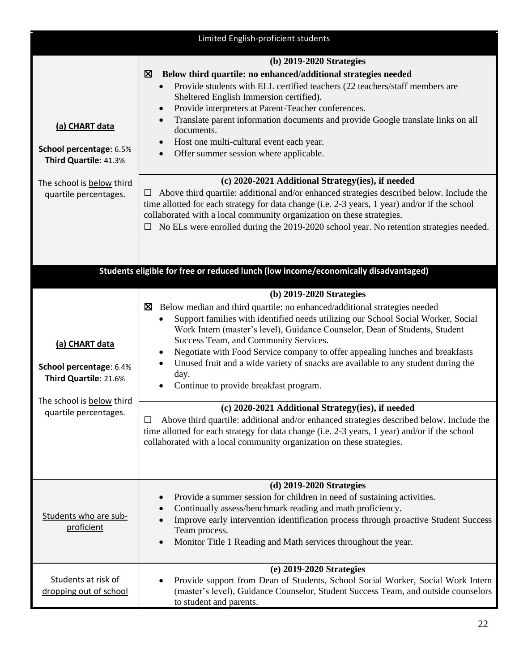| Limited English-proficient students                                                             |                                                                                                                                                                                                                                                                                                                                                                                                                                                                                                                                                                           |  |  |
|-------------------------------------------------------------------------------------------------|---------------------------------------------------------------------------------------------------------------------------------------------------------------------------------------------------------------------------------------------------------------------------------------------------------------------------------------------------------------------------------------------------------------------------------------------------------------------------------------------------------------------------------------------------------------------------|--|--|
| (a) CHART data<br>School percentage: 6.5%<br>Third Quartile: 41.3%                              | (b) 2019-2020 Strategies<br>Below third quartile: no enhanced/additional strategies needed<br>⊠<br>Provide students with ELL certified teachers (22 teachers/staff members are<br>Sheltered English Immersion certified).<br>Provide interpreters at Parent-Teacher conferences.<br>$\bullet$<br>Translate parent information documents and provide Google translate links on all<br>documents.<br>Host one multi-cultural event each year.<br>Offer summer session where applicable.<br>$\bullet$                                                                        |  |  |
| The school is below third<br>quartile percentages.                                              | (c) 2020-2021 Additional Strategy(ies), if needed<br>Above third quartile: additional and/or enhanced strategies described below. Include the<br>time allotted for each strategy for data change (i.e. 2-3 years, 1 year) and/or if the school<br>collaborated with a local community organization on these strategies.<br>No ELs were enrolled during the 2019-2020 school year. No retention strategies needed.                                                                                                                                                         |  |  |
|                                                                                                 | Students eligible for free or reduced lunch (low income/economically disadvantaged)                                                                                                                                                                                                                                                                                                                                                                                                                                                                                       |  |  |
| (a) CHART data<br>School percentage: 6.4%<br>Third Quartile: 21.6%<br>The school is below third | (b) 2019-2020 Strategies<br>Below median and third quartile: no enhanced/additional strategies needed<br>⊠<br>Support families with identified needs utilizing our School Social Worker, Social<br>Work Intern (master's level), Guidance Counselor, Dean of Students, Student<br>Success Team, and Community Services.<br>Negotiate with Food Service company to offer appealing lunches and breakfasts<br>$\bullet$<br>Unused fruit and a wide variety of snacks are available to any student during the<br>$\bullet$<br>day.<br>Continue to provide breakfast program. |  |  |
| quartile percentages.                                                                           | (c) 2020-2021 Additional Strategy(ies), if needed<br>Above third quartile: additional and/or enhanced strategies described below. Include the<br>□<br>time allotted for each strategy for data change (i.e. 2-3 years, 1 year) and/or if the school<br>collaborated with a local community organization on these strategies.                                                                                                                                                                                                                                              |  |  |
| Students who are sub-<br>proficient                                                             | (d) 2019-2020 Strategies<br>Provide a summer session for children in need of sustaining activities.<br>$\bullet$<br>Continually assess/benchmark reading and math proficiency.<br>Improve early intervention identification process through proactive Student Success<br>Team process.<br>Monitor Title 1 Reading and Math services throughout the year.<br>$\bullet$                                                                                                                                                                                                     |  |  |
| Students at risk of<br>dropping out of school                                                   | (e) 2019-2020 Strategies<br>Provide support from Dean of Students, School Social Worker, Social Work Intern<br>(master's level), Guidance Counselor, Student Success Team, and outside counselors<br>to student and parents.                                                                                                                                                                                                                                                                                                                                              |  |  |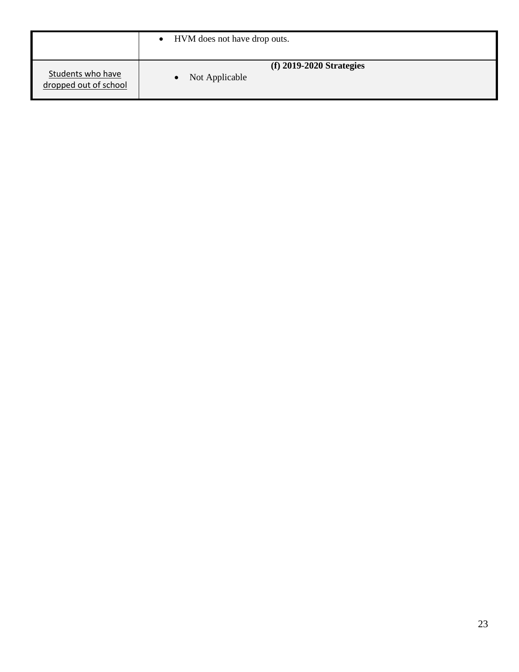<span id="page-22-0"></span>

|                                            | • HVM does not have drop outs.                            |
|--------------------------------------------|-----------------------------------------------------------|
| Students who have<br>dropped out of school | $(f)$ 2019-2020 Strategies<br>Not Applicable<br>$\bullet$ |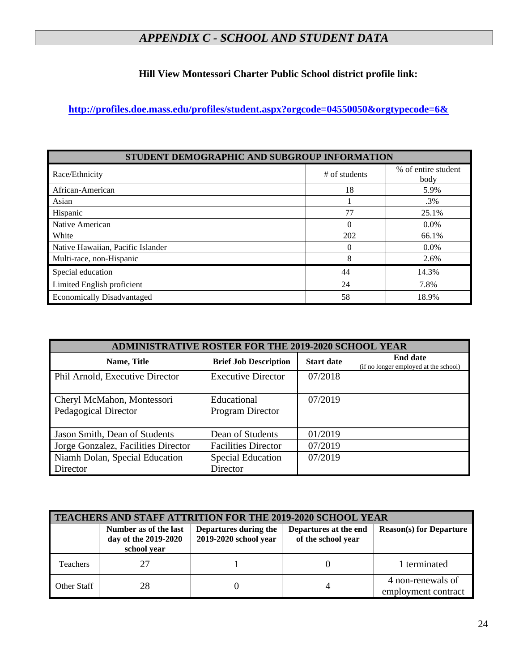# *APPENDIX C - SCHOOL AND STUDENT DATA*

## **Hill View Montessori Charter Public School district profile link:**

**<http://profiles.doe.mass.edu/profiles/student.aspx?orgcode=04550050&orgtypecode=6&>**

| STUDENT DEMOGRAPHIC AND SUBGROUP INFORMATION |                 |                             |  |
|----------------------------------------------|-----------------|-----------------------------|--|
| Race/Ethnicity                               | $#$ of students | % of entire student<br>body |  |
| African-American                             | 18              | 5.9%                        |  |
| Asian                                        |                 | .3%                         |  |
| Hispanic                                     | 77              | 25.1%                       |  |
| Native American                              | 0               | $0.0\%$                     |  |
| White                                        | 202             | 66.1%                       |  |
| Native Hawaiian, Pacific Islander            |                 | $0.0\%$                     |  |
| Multi-race, non-Hispanic                     | 8               | 2.6%                        |  |
| Special education                            | 44              | 14.3%                       |  |
| Limited English proficient                   | 24              | 7.8%                        |  |
| <b>Economically Disadvantaged</b>            | 58              | 18.9%                       |  |

| <b>ADMINISTRATIVE ROSTER FOR THE 2019-2020 SCHOOL YEAR</b> |                                      |                   |                                                          |
|------------------------------------------------------------|--------------------------------------|-------------------|----------------------------------------------------------|
| Name, Title                                                | <b>Brief Job Description</b>         | <b>Start date</b> | <b>End date</b><br>(if no longer employed at the school) |
| Phil Arnold, Executive Director                            | <b>Executive Director</b>            | 07/2018           |                                                          |
| Cheryl McMahon, Montessori<br>Pedagogical Director         | Educational<br>Program Director      | 07/2019           |                                                          |
| Jason Smith, Dean of Students                              | Dean of Students                     | 01/2019           |                                                          |
| Jorge Gonzalez, Facilities Director                        | <b>Facilities Director</b>           | 07/2019           |                                                          |
| Niamh Dolan, Special Education<br>Director                 | <b>Special Education</b><br>Director | 07/2019           |                                                          |

| <b>TEACHERS AND STAFF ATTRITION FOR THE 2019-2020 SCHOOL YEAR</b> |                                                              |                                                |                                             |                                          |
|-------------------------------------------------------------------|--------------------------------------------------------------|------------------------------------------------|---------------------------------------------|------------------------------------------|
|                                                                   | Number as of the last<br>day of the 2019-2020<br>school year | Departures during the<br>2019-2020 school year | Departures at the end<br>of the school year | <b>Reason(s) for Departure</b>           |
| <b>Teachers</b>                                                   |                                                              |                                                |                                             | 1 terminated                             |
| Other Staff                                                       | 28                                                           |                                                |                                             | 4 non-renewals of<br>employment contract |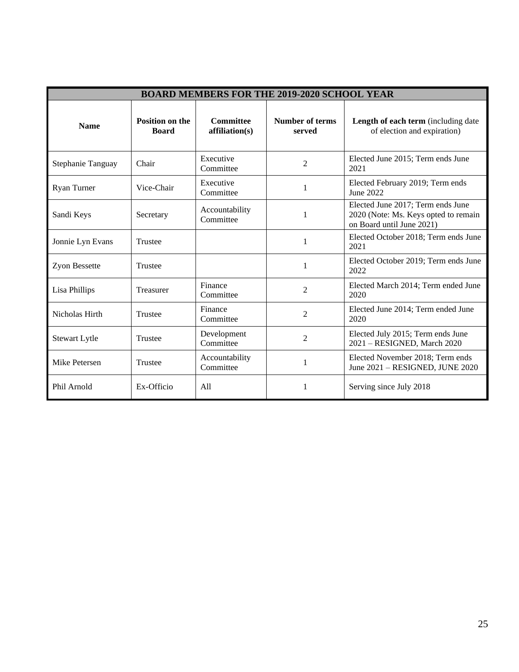| <b>BOARD MEMBERS FOR THE 2019-2020 SCHOOL YEAR</b> |                                        |                                    |                           |                                                                                                        |
|----------------------------------------------------|----------------------------------------|------------------------------------|---------------------------|--------------------------------------------------------------------------------------------------------|
| <b>Name</b>                                        | <b>Position on the</b><br><b>Board</b> | <b>Committee</b><br>affiliation(s) | Number of terms<br>served | Length of each term (including date<br>of election and expiration)                                     |
| Stephanie Tanguay                                  | Chair                                  | Executive<br>Committee             | $\overline{2}$            | Elected June 2015; Term ends June<br>2021                                                              |
| Ryan Turner                                        | Vice-Chair                             | Executive<br>Committee             | 1                         | Elected February 2019; Term ends<br>June 2022                                                          |
| Sandi Keys                                         | Secretary                              | Accountability<br>Committee        | 1                         | Elected June 2017; Term ends June<br>2020 (Note: Ms. Keys opted to remain<br>on Board until June 2021) |
| Jonnie Lyn Evans                                   | Trustee                                |                                    | 1                         | Elected October 2018; Term ends June<br>2021                                                           |
| Zyon Bessette                                      | Trustee                                |                                    | 1                         | Elected October 2019; Term ends June<br>2022                                                           |
| Lisa Phillips                                      | Treasurer                              | Finance<br>Committee               | $\overline{2}$            | Elected March 2014; Term ended June<br>2020                                                            |
| Nicholas Hirth                                     | Trustee                                | Finance<br>Committee               | $\overline{2}$            | Elected June 2014; Term ended June<br>2020                                                             |
| <b>Stewart Lytle</b>                               | Trustee                                | Development<br>Committee           | $\mathfrak{D}$            | Elected July 2015; Term ends June<br>2021 - RESIGNED, March 2020                                       |
| Mike Petersen                                      | <b>Trustee</b>                         | Accountability<br>Committee        | 1                         | Elected November 2018; Term ends<br>June 2021 - RESIGNED, JUNE 2020                                    |
| Phil Arnold                                        | Ex-Officio                             | A11                                | 1                         | Serving since July 2018                                                                                |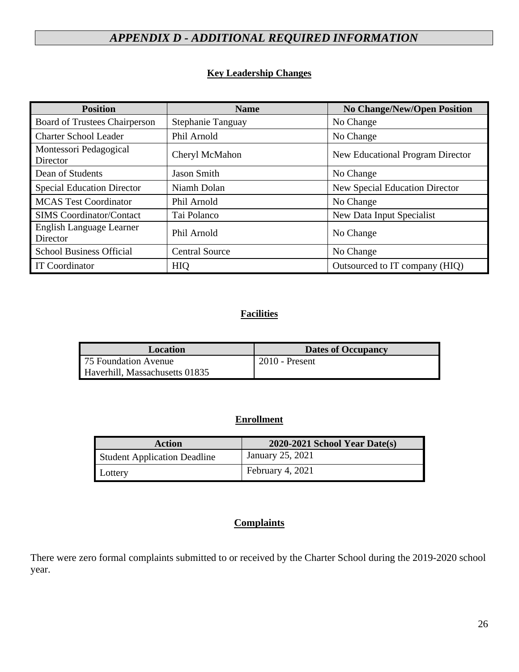# <span id="page-25-0"></span>*APPENDIX D - ADDITIONAL REQUIRED INFORMATION*

## **Key Leadership Changes**

| <b>Position</b>                      | <b>Name</b>           | <b>No Change/New/Open Position</b> |
|--------------------------------------|-----------------------|------------------------------------|
| Board of Trustees Chairperson        | Stephanie Tanguay     | No Change                          |
| <b>Charter School Leader</b>         | Phil Arnold           | No Change                          |
| Montessori Pedagogical<br>Director   | Cheryl McMahon        | New Educational Program Director   |
| Dean of Students                     | Jason Smith           | No Change                          |
| <b>Special Education Director</b>    | Niamh Dolan           | New Special Education Director     |
| <b>MCAS Test Coordinator</b>         | Phil Arnold           | No Change                          |
| <b>SIMS</b> Coordinator/Contact      | Tai Polanco           | New Data Input Specialist          |
| English Language Learner<br>Director | Phil Arnold           | No Change                          |
| <b>School Business Official</b>      | <b>Central Source</b> | No Change                          |
| <b>IT Coordinator</b>                | <b>HIQ</b>            | Outsourced to IT company (HIQ)     |

## **Facilities**

| Location                       | <b>Dates of Occupancy</b> |
|--------------------------------|---------------------------|
| 75 Foundation Avenue           | $2010$ - Present          |
| Haverhill, Massachusetts 01835 |                           |

### **Enrollment**

| <b>Action</b>                       | $2020-2021$ School Year Date(s) |
|-------------------------------------|---------------------------------|
| <b>Student Application Deadline</b> | January 25, 2021                |
| Lottery                             | February 4, 2021                |

## **Complaints**

There were zero formal complaints submitted to or received by the Charter School during the 2019-2020 school year.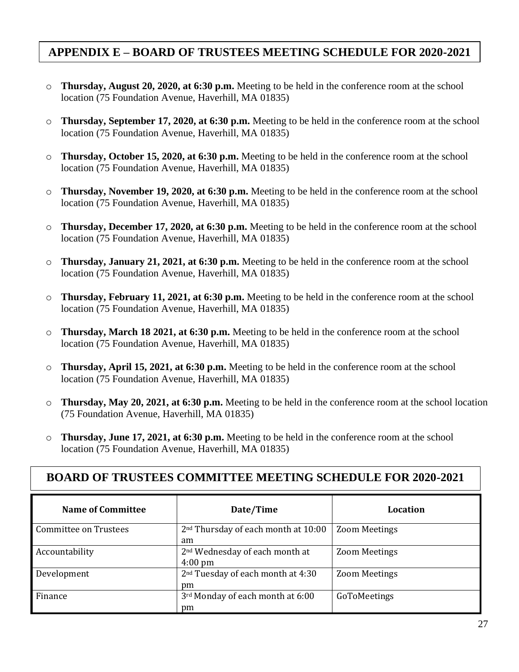# **APPENDIX E – BOARD OF TRUSTEES MEETING SCHEDULE FOR 2020-2021**

- o **Thursday, August 20, 2020, at 6:30 p.m.** Meeting to be held in the conference room at the school location (75 Foundation Avenue, Haverhill, MA 01835)
- o **Thursday, September 17, 2020, at 6:30 p.m.** Meeting to be held in the conference room at the school location (75 Foundation Avenue, Haverhill, MA 01835)
- o **Thursday, October 15, 2020, at 6:30 p.m.** Meeting to be held in the conference room at the school location (75 Foundation Avenue, Haverhill, MA 01835)
- o **Thursday, November 19, 2020, at 6:30 p.m.** Meeting to be held in the conference room at the school location (75 Foundation Avenue, Haverhill, MA 01835)
- o **Thursday, December 17, 2020, at 6:30 p.m.** Meeting to be held in the conference room at the school location (75 Foundation Avenue, Haverhill, MA 01835)
- o **Thursday, January 21, 2021, at 6:30 p.m.** Meeting to be held in the conference room at the school location (75 Foundation Avenue, Haverhill, MA 01835)
- o **Thursday, February 11, 2021, at 6:30 p.m.** Meeting to be held in the conference room at the school location (75 Foundation Avenue, Haverhill, MA 01835)
- o **Thursday, March 18 2021, at 6:30 p.m.** Meeting to be held in the conference room at the school location (75 Foundation Avenue, Haverhill, MA 01835)
- o **Thursday, April 15, 2021, at 6:30 p.m.** Meeting to be held in the conference room at the school location (75 Foundation Avenue, Haverhill, MA 01835)
- o **Thursday, May 20, 2021, at 6:30 p.m.** Meeting to be held in the conference room at the school location (75 Foundation Avenue, Haverhill, MA 01835)
- o **Thursday, June 17, 2021, at 6:30 p.m.** Meeting to be held in the conference room at the school location (75 Foundation Avenue, Haverhill, MA 01835)

| <b>BOARD OF TRUSTEES COMMITTEE MEETING SCHEDULE FOR 2020-2021</b> |                                                                 |                      |  |
|-------------------------------------------------------------------|-----------------------------------------------------------------|----------------------|--|
| <b>Name of Committee</b>                                          | Date/Time                                                       | Location             |  |
| Committee on Trustees                                             | 2 <sup>nd</sup> Thursday of each month at 10:00<br>am           | <b>Zoom Meetings</b> |  |
| Accountability                                                    | 2 <sup>nd</sup> Wednesday of each month at<br>$4:00 \text{ pm}$ | <b>Zoom Meetings</b> |  |
| Development                                                       | 2 <sup>nd</sup> Tuesday of each month at 4:30<br>pm             | <b>Zoom Meetings</b> |  |
| Finance                                                           | 3rd Monday of each month at 6:00<br>pm                          | GoToMeetings         |  |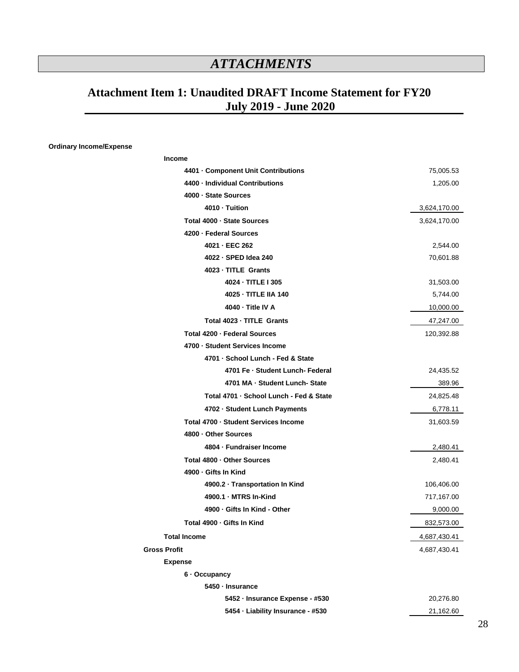# *ATTACHMENTS*

# <span id="page-27-0"></span>**Attachment Item 1: Unaudited DRAFT Income Statement for FY20 July 2019 - June 2020**

#### **Ordinary Income/Expense**

| <b>Income</b>                           |              |
|-----------------------------------------|--------------|
| 4401 • Component Unit Contributions     | 75,005.53    |
| 4400 - Individual Contributions         | 1,205.00     |
| 4000 · State Sources                    |              |
| 4010 - Tuition                          | 3,624,170.00 |
| Total 4000 - State Sources              | 3,624,170.00 |
| 4200 · Federal Sources                  |              |
| 4021 - EEC 262                          | 2,544.00     |
| 4022 - SPED Idea 240                    | 70,601.88    |
| 4023 - TITLE Grants                     |              |
| 4024 - TITLE I 305                      | 31,503.00    |
| 4025 - TITLE IIA 140                    | 5,744.00     |
| 4040 - Title IV A                       | 10,000.00    |
| Total 4023 - TITLE Grants               | 47,247.00    |
| Total 4200 - Federal Sources            | 120,392.88   |
| 4700 · Student Services Income          |              |
| 4701 - School Lunch - Fed & State       |              |
| 4701 Fe - Student Lunch- Federal        | 24,435.52    |
| 4701 MA - Student Lunch-State           | 389.96       |
| Total 4701 - School Lunch - Fed & State | 24,825.48    |
| 4702 - Student Lunch Payments           | 6,778.11     |
| Total 4700 - Student Services Income    | 31,603.59    |
| 4800 - Other Sources                    |              |
| 4804 · Fundraiser Income                | 2,480.41     |
| Total 4800 - Other Sources              | 2,480.41     |
| 4900 - Gifts In Kind                    |              |
| 4900.2 · Transportation In Kind         | 106,406.00   |
| 4900.1 MTRS In-Kind                     | 717,167.00   |
| 4900 - Gifts In Kind - Other            | 9,000.00     |
| Total 4900 · Gifts In Kind              | 832,573.00   |
| <b>Total Income</b>                     | 4,687,430.41 |
| <b>Gross Profit</b>                     | 4,687,430.41 |
| <b>Expense</b>                          |              |
| 6 - Occupancy                           |              |
| 5450 - Insurance                        |              |
| 5452 - Insurance Expense - #530         | 20,276.80    |
| 5454 - Liability Insurance - #530       | 21,162.60    |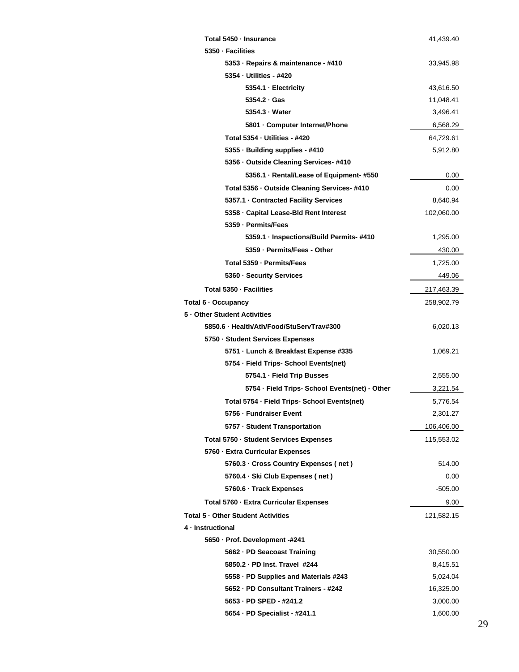| Total 5450 - Insurance                         | 41,439.40  |
|------------------------------------------------|------------|
| 5350 - Facilities                              |            |
| 5353 · Repairs & maintenance - #410            | 33,945.98  |
| 5354 - Utilities - #420                        |            |
| 5354.1 · Electricity                           | 43,616.50  |
| 5354.2 · Gas                                   | 11,048.41  |
| 5354.3 Water                                   | 3,496.41   |
| 5801 · Computer Internet/Phone                 | 6,568.29   |
| <b>Total 5354 - Utilities - #420</b>           | 64,729.61  |
| 5355 - Building supplies - #410                | 5,912.80   |
| 5356 · Outside Cleaning Services- #410         |            |
| 5356.1 · Rental/Lease of Equipment- #550       | 0.00       |
| Total 5356 - Outside Cleaning Services- #410   | 0.00       |
| 5357.1 Contracted Facility Services            | 8,640.94   |
| 5358 Gapital Lease-Bld Rent Interest           | 102,060.00 |
| 5359 - Permits/Fees                            |            |
| 5359.1 · Inspections/Build Permits- #410       | 1,295.00   |
| 5359 - Permits/Fees - Other                    | 430.00     |
| Total 5359 - Permits/Fees                      | 1,725.00   |
| 5360 - Security Services                       | 449.06     |
| Total 5350 - Facilities                        | 217,463.39 |
| Total 6 · Occupancy                            | 258,902.79 |
| 5 - Other Student Activities                   |            |
| 5850.6 · Health/Ath/Food/StuServTrav#300       | 6,020.13   |
| 5750 · Student Services Expenses               |            |
| 5751 - Lunch & Breakfast Expense #335          | 1,069.21   |
| 5754 - Field Trips- School Events(net)         |            |
| 5754.1 - Field Trip Busses                     | 2,555.00   |
| 5754 · Field Trips- School Events(net) - Other | 3,221.54   |
| Total 5754 - Field Trips- School Events(net)   | 5,776.54   |
| 5756 - Fundraiser Event                        | 2,301.27   |
| 5757 · Student Transportation                  | 106,406.00 |
| Total 5750 · Student Services Expenses         | 115,553.02 |
| 5760 - Extra Curricular Expenses               |            |
| 5760.3 · Cross Country Expenses (net)          | 514.00     |
| 5760.4 · Ski Club Expenses (net)               | 0.00       |
| 5760.6 · Track Expenses                        | -505.00    |
| Total 5760 - Extra Curricular Expenses         | 9.00       |
| Total 5 - Other Student Activities             | 121,582.15 |
| 4 - Instructional                              |            |
| 5650 · Prof. Development -#241                 |            |
| 5662 · PD Seacoast Training                    | 30,550.00  |
| 5850.2 · PD Inst. Travel #244                  | 8,415.51   |
| 5558 · PD Supplies and Materials #243          | 5,024.04   |
| 5652 - PD Consultant Trainers - #242           | 16,325.00  |
| 5653 - PD SPED - #241.2                        | 3,000.00   |
| 5654 · PD Specialist - #241.1                  | 1,600.00   |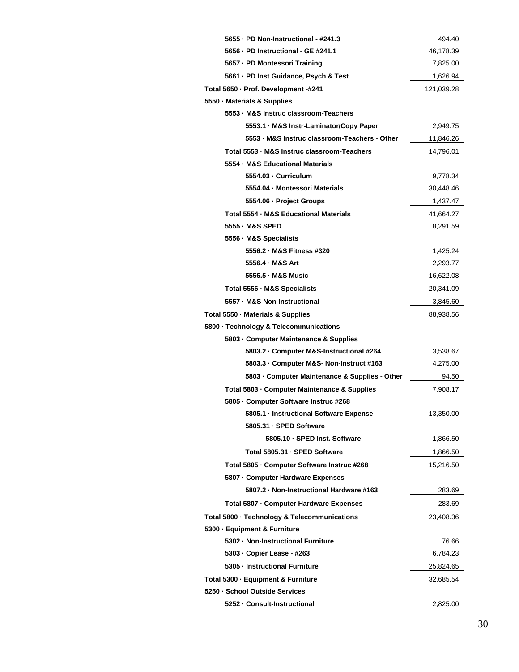| 5655 · PD Non-Instructional - #241.3           | 494.40     |
|------------------------------------------------|------------|
| 5656 · PD Instructional - GE #241.1            | 46,178.39  |
| 5657 - PD Montessori Training                  | 7,825.00   |
| 5661 · PD Inst Guidance, Psych & Test          | 1,626.94   |
| Total 5650 - Prof. Development -#241           | 121,039.28 |
| 5550 · Materials & Supplies                    |            |
| 5553 - M&S Instruc classroom-Teachers          |            |
| 5553.1 · M&S Instr-Laminator/Copy Paper        | 2,949.75   |
| 5553 · M&S Instruc classroom-Teachers - Other  | 11,846.26  |
| Total 5553 - M&S Instruc classroom-Teachers    | 14,796.01  |
| 5554 - M&S Educational Materials               |            |
| 5554.03 - Curriculum                           | 9,778.34   |
| 5554.04 - Montessori Materials                 | 30,448.46  |
| 5554.06 · Project Groups                       | 1,437.47   |
| Total 5554 - M&S Educational Materials         | 41,664.27  |
| 5555 - M&S SPED                                | 8,291.59   |
| 5556 - M&S Specialists                         |            |
| 5556.2 - M&S Fitness #320                      | 1,425.24   |
| 5556.4 - M&S Art                               | 2,293.77   |
| 5556.5 - M&S Music                             | 16,622.08  |
| Total 5556 · M&S Specialists                   | 20,341.09  |
| 5557 - M&S Non-Instructional                   | 3,845.60   |
| Total 5550 · Materials & Supplies              | 88,938.56  |
| 5800 · Technology & Telecommunications         |            |
| 5803 - Computer Maintenance & Supplies         |            |
| 5803.2 Computer M&S-Instructional #264         | 3,538.67   |
| 5803.3 Gomputer M&S- Non-Instruct #163         | 4,275.00   |
| 5803 · Computer Maintenance & Supplies - Other | 94.50      |
| Total 5803 - Computer Maintenance & Supplies   | 7,908.17   |
| 5805 · Computer Software Instruc #268          |            |
| 5805.1 · Instructional Software Expense        | 13,350.00  |
| 5805.31 - SPED Software                        |            |
| 5805.10 · SPED Inst. Software                  | 1,866.50   |
| Total 5805.31 - SPED Software                  | 1,866.50   |
| Total 5805 - Computer Software Instruc #268    | 15,216.50  |
| 5807 · Computer Hardware Expenses              |            |
| 5807.2 · Non-Instructional Hardware #163       | 283.69     |
| Total 5807 - Computer Hardware Expenses        | 283.69     |
| Total 5800 · Technology & Telecommunications   | 23,408.36  |
| 5300 · Equipment & Furniture                   |            |
| 5302 - Non-Instructional Furniture             | 76.66      |
| 5303 · Copier Lease - #263                     | 6,784.23   |
| 5305 - Instructional Furniture                 | 25,824.65  |
| Total 5300 - Equipment & Furniture             | 32,685.54  |
| 5250 · School Outside Services                 |            |
| 5252 - Consult-Instructional                   | 2,825.00   |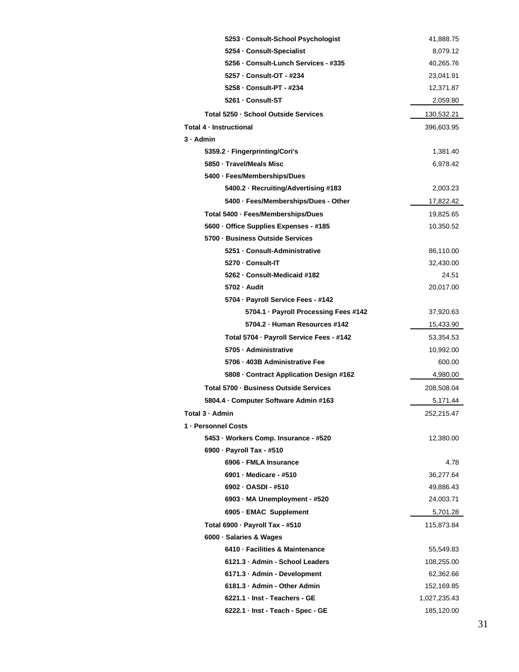| 5253 - Consult-School Psychologist       | 41,888.75    |
|------------------------------------------|--------------|
| 5254 Consult-Specialist                  | 8,079.12     |
| 5256 - Consult-Lunch Services - #335     | 40,265.76    |
| 5257 - Consult-OT - #234                 | 23,041.91    |
| 5258 - Consult-PT - #234                 | 12,371.87    |
| 5261 - Consult-ST                        | 2,059.80     |
| Total 5250 - School Outside Services     | 130,532.21   |
| Total 4 - Instructional                  | 396,603.95   |
| $3 -$ Admin                              |              |
| 5359.2 · Fingerprinting/Cori's           | 1,381.40     |
| 5850 - Travel/Meals Misc                 | 6,978.42     |
| 5400 · Fees/Memberships/Dues             |              |
| 5400.2 · Recruiting/Advertising #183     | 2,003.23     |
| 5400 · Fees/Memberships/Dues - Other     | 17,822.42    |
| Total 5400 - Fees/Memberships/Dues       | 19,825.65    |
| 5600 · Office Supplies Expenses - #185   | 10,350.52    |
| 5700 - Business Outside Services         |              |
| 5251 - Consult-Administrative            | 86,110.00    |
| 5270 - Consult-IT                        | 32,430.00    |
| 5262 · Consult-Medicaid #182             | 24.51        |
| 5702 - Audit                             | 20,017.00    |
| 5704 · Payroll Service Fees - #142       |              |
| 5704.1 · Payroll Processing Fees #142    | 37,920.63    |
| 5704.2 · Human Resources #142            | 15,433.90    |
| Total 5704 - Payroll Service Fees - #142 | 53,354.53    |
| 5705 - Administrative                    | 10,992.00    |
| 5706 · 403B Administrative Fee           | 600.00       |
| 5808 · Contract Application Design #162  | 4,980.00     |
| Total 5700 - Business Outside Services   | 208,508.04   |
| 5804.4 · Computer Software Admin #163    | 5,171.44     |
| Total 3 · Admin                          | 252,215.47   |
| 1 - Personnel Costs                      |              |
| 5453 · Workers Comp. Insurance - #520    | 12,380.00    |
| 6900 - Payroll Tax - #510                |              |
| 6906 - FMLA Insurance                    | 4.78         |
| 6901 - Medicare - #510                   | 36,277.64    |
| 6902 - OASDI - #510                      | 49,886.43    |
| 6903 - MA Unemployment - #520            | 24,003.71    |
| 6905 - EMAC Supplement                   | 5,701.28     |
| Total 6900 · Payroll Tax - #510          | 115,873.84   |
| 6000 · Salaries & Wages                  |              |
| 6410 - Facilities & Maintenance          | 55,549.83    |
| 6121.3 · Admin - School Leaders          | 108,255.00   |
| 6171.3 · Admin - Development             | 62,362.66    |
| 6181.3 - Admin - Other Admin             | 152,169.85   |
| 6221.1 · Inst - Teachers - GE            | 1,027,235.43 |
| 6222.1 · Inst - Teach - Spec - GE        | 185,120.00   |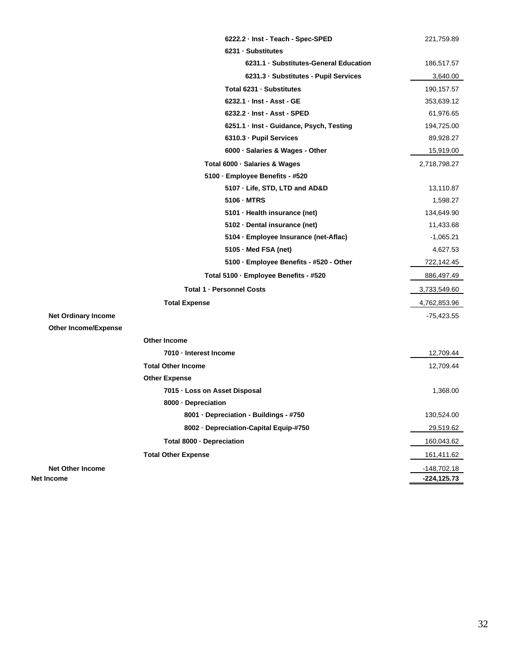|                             | 6222.2 · Inst - Teach - Spec-SPED        | 221,759.89     |
|-----------------------------|------------------------------------------|----------------|
|                             | 6231 - Substitutes                       |                |
|                             | 6231.1 · Substitutes-General Education   | 186,517.57     |
|                             | 6231.3 · Substitutes - Pupil Services    | 3,640.00       |
|                             | Total 6231 - Substitutes                 | 190,157.57     |
|                             | 6232.1 - Inst - Asst - GE                | 353,639.12     |
|                             | 6232.2 - Inst - Asst - SPED              | 61,976.65      |
|                             | 6251.1 · Inst - Guidance, Psych, Testing | 194,725.00     |
|                             | 6310.3 · Pupil Services                  | 89,928.27      |
|                             | 6000 · Salaries & Wages - Other          | 15,919.00      |
|                             | Total 6000 · Salaries & Wages            | 2,718,798.27   |
|                             | 5100 · Employee Benefits - #520          |                |
|                             | 5107 · Life, STD, LTD and AD&D           | 13,110.87      |
|                             | 5106 - MTRS                              | 1,598.27       |
|                             | 5101 · Health insurance (net)            | 134,649.90     |
|                             | 5102 · Dental insurance (net)            | 11,433.68      |
|                             | 5104 · Employee Insurance (net-Aflac)    | $-1,065.21$    |
|                             | 5105 - Med FSA (net)                     | 4,627.53       |
|                             | 5100 · Employee Benefits - #520 - Other  | 722,142.45     |
|                             | Total 5100 - Employee Benefits - #520    | 886,497.49     |
|                             | <b>Total 1 - Personnel Costs</b>         | 3,733,549.60   |
|                             | <b>Total Expense</b>                     | 4,762,853.96   |
| <b>Net Ordinary Income</b>  |                                          | -75,423.55     |
| <b>Other Income/Expense</b> |                                          |                |
|                             | Other Income                             |                |
|                             | 7010 - Interest Income                   | 12,709.44      |
|                             | <b>Total Other Income</b>                | 12,709.44      |
|                             | <b>Other Expense</b>                     |                |
|                             | 7015 - Loss on Asset Disposal            | 1,368.00       |
|                             | 8000 - Depreciation                      |                |
|                             | 8001 Depreciation - Buildings - #750     | 130,524.00     |
|                             | 8002 · Depreciation-Capital Equip-#750   | 29,519.62      |
|                             | Total 8000 · Depreciation                | 160,043.62     |
|                             | <b>Total Other Expense</b>               | 161,411.62     |
| <b>Net Other Income</b>     |                                          | -148,702.18    |
| Net Income                  |                                          | $-224, 125.73$ |
|                             |                                          |                |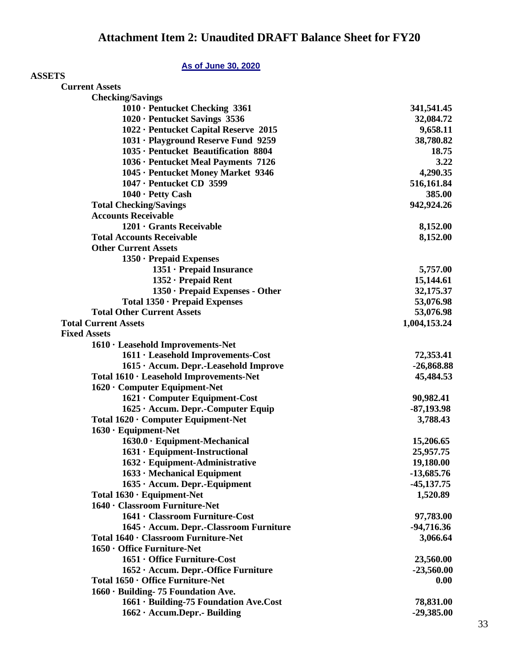## **As of June 30, 2020**

| <b>ASSETS</b>                           |              |
|-----------------------------------------|--------------|
| <b>Current Assets</b>                   |              |
| <b>Checking/Savings</b>                 |              |
| 1010 · Pentucket Checking 3361          | 341,541.45   |
| 1020 · Pentucket Savings 3536           | 32,084.72    |
| 1022 · Pentucket Capital Reserve 2015   | 9,658.11     |
| 1031 · Playground Reserve Fund 9259     | 38,780.82    |
| 1035 · Pentucket Beautification 8804    | 18.75        |
| 1036 · Pentucket Meal Payments 7126     | 3.22         |
| 1045 · Pentucket Money Market 9346      | 4,290.35     |
| 1047 · Pentucket CD 3599                | 516,161.84   |
| 1040 · Petty Cash                       | 385.00       |
| <b>Total Checking/Savings</b>           | 942,924.26   |
| <b>Accounts Receivable</b>              |              |
| 1201 · Grants Receivable                | 8,152.00     |
| <b>Total Accounts Receivable</b>        | 8,152.00     |
| <b>Other Current Assets</b>             |              |
| 1350 · Prepaid Expenses                 |              |
| 1351 · Prepaid Insurance                | 5,757.00     |
| $1352 \cdot$ Prepaid Rent               | 15,144.61    |
| 1350 · Prepaid Expenses - Other         | 32,175.37    |
| Total 1350 · Prepaid Expenses           | 53,076.98    |
| <b>Total Other Current Assets</b>       | 53,076.98    |
| <b>Total Current Assets</b>             | 1,004,153.24 |
| <b>Fixed Assets</b>                     |              |
| 1610 · Leasehold Improvements-Net       |              |
| 1611 · Leasehold Improvements-Cost      | 72,353.41    |
| 1615 · Accum. Depr.-Leasehold Improve   | $-26,868.88$ |
| Total 1610 · Leasehold Improvements-Net | 45,484.53    |
| $1620 \cdot$ Computer Equipment-Net     |              |
| 1621 • Computer Equipment-Cost          | 90,982.41    |
| 1625 · Accum. Depr.-Computer Equip      | $-87,193.98$ |
| Total 1620 · Computer Equipment-Net     | 3,788.43     |
| $1630 \cdot$ Equipment-Net              |              |
| 1630.0 · Equipment-Mechanical           | 15,206.65    |
| 1631 · Equipment-Instructional          | 25,957.75    |
| 1632 · Equipment-Administrative         | 19,180.00    |
| $1633 \cdot$ Mechanical Equipment       | $-13,685.76$ |
| 1635 · Accum. Depr.-Equipment           | $-45,137.75$ |
| Total 1630 · Equipment-Net              | 1,520.89     |
| 1640 · Classroom Furniture-Net          |              |
| 1641 · Classroom Furniture-Cost         | 97,783.00    |
| 1645 · Accum. Depr.-Classroom Furniture | $-94,716.36$ |
| Total 1640 · Classroom Furniture-Net    | 3,066.64     |
| $1650 \cdot$ Office Furniture-Net       |              |
| 1651 · Office Furniture-Cost            | 23,560.00    |
| 1652 · Accum. Depr.-Office Furniture    | $-23,560.00$ |
| Total 1650 · Office Furniture-Net       | 0.00         |
| 1660 · Building- 75 Foundation Ave.     |              |
| 1661 · Building-75 Foundation Ave.Cost  | 78,831.00    |
| 1662 · Accum.Depr.- Building            | -29,385.00   |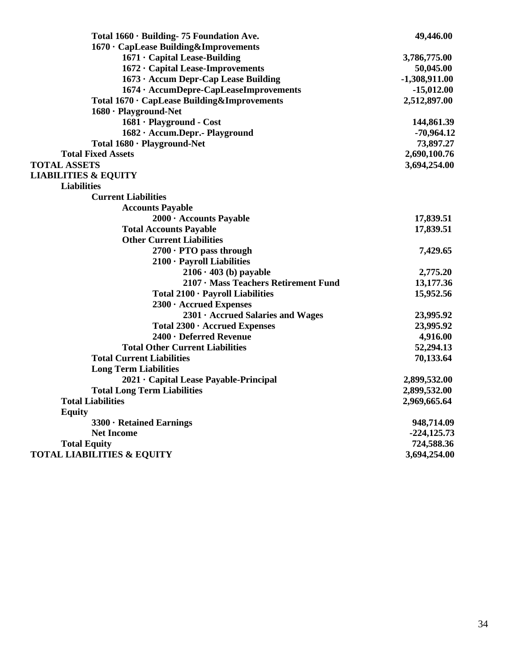| Total 1660 · Building- 75 Foundation Ave.   | 49,446.00       |
|---------------------------------------------|-----------------|
| 1670 · CapLease Building&Improvements       |                 |
| $1671 \cdot$ Capital Lease-Building         | 3,786,775.00    |
| 1672 · Capital Lease-Improvements           | 50,045.00       |
| 1673 · Accum Depr-Cap Lease Building        | $-1,308,911.00$ |
| 1674 · AccumDepre-CapLeaseImprovements      | $-15,012.00$    |
| Total 1670 · CapLease Building&Improvements | 2,512,897.00    |
| 1680 · Playground-Net                       |                 |
| 1681 · Playground - Cost                    | 144,861.39      |
| 1682 · Accum.Depr.- Playground              | $-70,964.12$    |
| Total 1680 · Playground-Net                 | 73,897.27       |
| <b>Total Fixed Assets</b>                   | 2,690,100.76    |
| <b>TOTAL ASSETS</b>                         | 3,694,254.00    |
| <b>LIABILITIES &amp; EQUITY</b>             |                 |
| <b>Liabilities</b>                          |                 |
| <b>Current Liabilities</b>                  |                 |
| <b>Accounts Payable</b>                     |                 |
| 2000 · Accounts Payable                     | 17,839.51       |
| <b>Total Accounts Payable</b>               | 17,839.51       |
| <b>Other Current Liabilities</b>            |                 |
| $2700 \cdot$ PTO pass through               | 7,429.65        |
| 2100 · Payroll Liabilities                  |                 |
| $2106 \cdot 403$ (b) payable                | 2,775.20        |
| 2107 · Mass Teachers Retirement Fund        | 13,177.36       |
| Total 2100 · Payroll Liabilities            | 15,952.56       |
| $2300 \cdot \text{Accrued Express}$         |                 |
| 2301 · Accrued Salaries and Wages           | 23,995.92       |
| Total 2300 · Accrued Expenses               | 23,995.92       |
| 2400 · Deferred Revenue                     | 4,916.00        |
| <b>Total Other Current Liabilities</b>      | 52,294.13       |
| <b>Total Current Liabilities</b>            | 70,133.64       |
| <b>Long Term Liabilities</b>                |                 |
| 2021 · Capital Lease Payable-Principal      | 2,899,532.00    |
| <b>Total Long Term Liabilities</b>          | 2,899,532.00    |
| <b>Total Liabilities</b>                    | 2,969,665.64    |
| <b>Equity</b>                               |                 |
| 3300 · Retained Earnings                    | 948,714.09      |
| <b>Net Income</b>                           | $-224, 125.73$  |
| <b>Total Equity</b>                         | 724,588.36      |
| <b>TOTAL LIABILITIES &amp; EQUITY</b>       | 3,694,254.00    |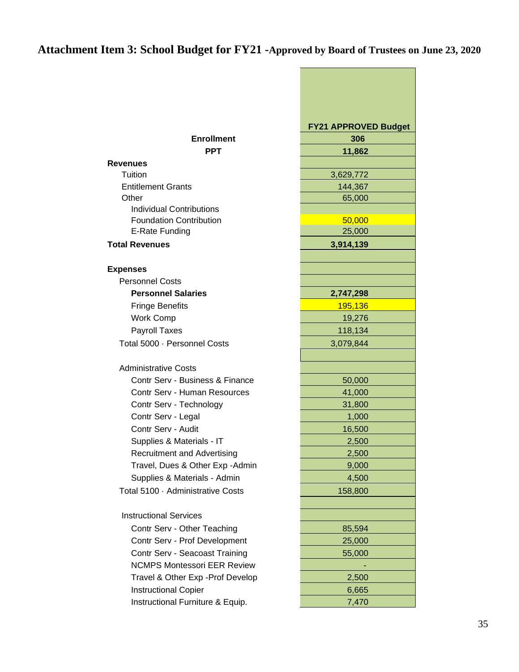# **Attachment Item 3: School Budget for FY21 -Approved by Board of Trustees on June 23, 2020**

|                                                                   | <b>FY21 APPROVED Budget</b> |
|-------------------------------------------------------------------|-----------------------------|
| <b>Enrollment</b>                                                 | 306                         |
| <b>PPT</b>                                                        | 11,862                      |
| <b>Revenues</b>                                                   |                             |
| Tuition                                                           | 3,629,772                   |
| <b>Entitlement Grants</b>                                         | 144,367                     |
| Other                                                             | 65,000                      |
| <b>Individual Contributions</b><br><b>Foundation Contribution</b> | 50,000                      |
| E-Rate Funding                                                    | 25,000                      |
|                                                                   |                             |
| <b>Total Revenues</b>                                             | 3,914,139                   |
| <b>Expenses</b>                                                   |                             |
| <b>Personnel Costs</b>                                            |                             |
| <b>Personnel Salaries</b>                                         | 2,747,298                   |
| <b>Fringe Benefits</b>                                            | 195,136                     |
| <b>Work Comp</b>                                                  | 19,276                      |
| Payroll Taxes                                                     | 118,134                     |
| Total 5000 · Personnel Costs                                      | 3,079,844                   |
|                                                                   |                             |
| <b>Administrative Costs</b>                                       |                             |
| Contr Serv - Business & Finance                                   | 50,000                      |
| Contr Serv - Human Resources                                      | 41,000                      |
| Contr Serv - Technology                                           | 31,800                      |
| Contr Serv - Legal                                                | 1,000                       |
| Contr Serv - Audit                                                | 16,500                      |
| Supplies & Materials - IT                                         | 2,500                       |
| <b>Recruitment and Advertising</b>                                | 2,500                       |
| Travel, Dues & Other Exp - Admin                                  | 9,000                       |
| Supplies & Materials - Admin                                      | 4,500                       |
| Total 5100 · Administrative Costs                                 | 158,800                     |
|                                                                   |                             |
| <b>Instructional Services</b>                                     |                             |
| Contr Serv - Other Teaching                                       | 85,594                      |
| Contr Serv - Prof Development                                     | 25,000                      |
| Contr Serv - Seacoast Training                                    | 55,000                      |
| <b>NCMPS Montessori EER Review</b>                                |                             |
| Travel & Other Exp - Prof Develop                                 | 2,500                       |
| <b>Instructional Copier</b>                                       | 6,665                       |
| Instructional Furniture & Equip.                                  | 7,470                       |